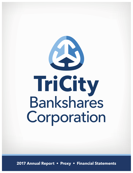

**2017 Annual Report • Proxy • Financial Statements**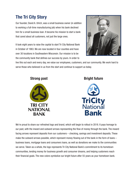# **The Tri City Story**

Our founder, David A. Ulrich, was a small business owner (in addition to working a full-time manufacturing job) when his bank declined him for a small business loan. It became his mission to start a bank that cared about all customers, not just the large ones.

It took eight years to raise the capital to start Tri City National Bank in October of 1963. We are now located in four counties and have over 30 locations in Southeastern Wisconsin. Our mission is to be the community bank that defines our success by yours. In order to



live this out each and every day, we value our employees, customers, and our community. We work hard to serve those who believed in us from the start and continue to support us today.



# **Strong past Bright future**



We're proud to share our refreshed logo and brand, which will begin to rollout in 2018. It pays homage to our past, with the inward and outward arrows representing the flow of money through the bank. The inward facing arrows represent deposits from our customers – checking, savings and investment deposits. These make the outward arrows possible, which represent money flowing out of the bank in the form of loans – business loans, mortgage loans and consumers loans, as well as donations we make to the communities we serve. Taken as a whole, the logo represents Tri City National Bank's commitment to its hometown communities, lending money for business growth and consumer dreams, and helping customers reach their financial goals. The new colors symbolize our bright future after 55 years as your hometown bank.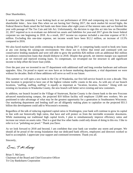Dear Shareholders,

It seems just like yesterday I was looking back at our performance of 2016 and composing my very first annual shareholder letter... how time flies when we are having fun! During 2017, the stock market hit record highs, the Federal Reserve Bank raised the fed funds rate three times after eight years of flat interest rates and we finished the year with passage of The Tax Cuts and Job Act. Unfortunately, the decision to sign this act into law on December 22, 2017 required us to re-evaluate our deferred tax assets and liabilities for year-end 2017 given the lower federal corporate tax rate beginning in 2018. As a result, 2017 income tax expense included a one-time expense of \$1.5 million. Excluding this one-time expense, net income would have been \$12.2 million, an increase of 13.5% compared to 2016.

We also faced market loan yields continuing to decrease during 2017 as competing banks raced to book new loans at any cost during the raising-rate environment. We chose not to follow that trend and continued with our conservative lending standards and were still able to grow the portfolio \$26 million with an additional \$42 million in undrawn construction loans that should disburse in 2018. Despite that growth, net interest margin was squeezed as we renewed and repriced existing loans. To compensate, we revamped our fee structure to add significant income to help offset the lower loan yields.

Over the past year we invested in our IT department with additional staff and long overdue hardware and software upgrades. Also, I'm proud to report we now have an in-house marketing department, a vital department we were without for decades. Both of these additions will serve us well in our future.

This summer we will open a new bank in the City of Waukesha, our first full-service branch in over a decade. This new location is projected to have one of the highest volume traffic counts in the area. As with any of our branch locations, "staffing, staffing, staffing" is equally as important as "location, location, location." Along with our existing six locations in Waukesha County, the new branch will better serve existing and new customers.

In addition, our branch located in the Village of Sturtevant, Racine County is the closest bank to the new Foxconn advanced manufacturing campus, the projected \$10 billion facility will employee 13,000 new workers. We are positioned to take advantage of what may be the greatest opportunity for a generation in Southeastern Wisconsin. Our marketing department and lending staff are all diligently making plans to capitalize on the projected \$51.5 billion this development could add to Wisconsin's economy.

Regardless of the talk of reducing regulated capital ratios in Washington, your bank will continue to grow its capital in line with our historically high ratios, that have and will protect us from the inevitable economic downturns. While maintaining our traditional high capital levels, I plan to simultaneously improve efficiency ratios and increase our return on assets ratio. That is a goal that few other banks could only dream of doing in this era. I like to refer to it as "polishing our jewel." Thank you Dave.

As we look forward to 2018 and beyond, I am confident that your bank can weather any storm and prosper. We should all be proud of the strong foundation that our dedicated bank officers, employees and directors worked so hard to accomplish. I appreciate your support and continued investment. Thank you all.

Sincerely,

Brain T. Mc Harry

Brian T. McGarry Chairman of the Board and Chief Executive Officer Tri City Bankshares Corporation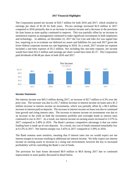#### **2017 Financial Highlights**

The Corporation posted net income of \$10.7 million for both 2016 and 2017, which resulted in earnings per share of \$1.20 for both years. Pre-tax earnings increased \$2.0 million in 2017 compared to 2016 primarily due to an increase in interest income and a decrease in the provision for loan losses as asset quality continued to improve. This was partially offset by an increase in noninterest expense as management continued to make significant investments in both employees and technology. In addition, on December 22, 2017 the Tax Cuts and Jobs Act was signed into law, requiring us to re-evaluate our deferred tax assets and liabilities for year-end 2017 given the lower federal corporate income tax rate beginning in 2018. As a result, 2017 income tax expense included a one-time expense of \$1.5 million. Not including this one-time expense, net income would have been \$12.2 million and earnings per share would have been \$1.37. The Corporation paid dividends of \$0.48 per share in both 2016 and 2017.



#### **Income Statement**

Net interest income was \$45.5 million during 2017, an increase of \$2.7 million or 6.3% over the prior year. The increase was due to a \$1.7 million increase in interest income on loans and a \$1.3 million increase in interest income on investments, which was partially offset by a \$0.3 million increase in interest paid on deposits. The increase in interest income on loans was due to continued loan growth and rising interest rates. The increase in interest income on investments was due to an increase in the yield on both the investment portfolio and overnight funds as interest rates continued to rise in 2017. As a result, our interest income on earning assets increased to 3.57% in 2017 compared to 3.49% in 2016. The Bank's primary competitive advantage is that our entire funding base is made up of core deposits. As a result, our cost of funds remained remarkably low at 0.12% in 2017. Net interest margin was 3.45% in 2017 compared to 3.39% in 2016.

The Bank remains asset sensitive, meaning that if interest rates rise we would expect our net interest margin to increase resulting in additional net interest income. We fully expect our interest income on earning assets to increase in a rising rate environment, however the key to increased profitability will be controlling the Bank's cost of funds.

The provision for loan losses decreased \$0.9 million to \$0.0 during 2017 due to continued improvement in asset quality discussed in detail below.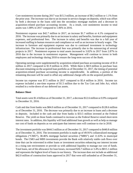Core noninterest income during 2017 was \$15.3 million, an increase of \$0.2 million or 1.1% from the prior year. The increase was due to an increase in service charges on deposits, which was offset by both a decrease in the loans sold into the secondary mortgage markets and a decrease in acquisition-related purchase accounting income. As a result, core noninterest income to total assets was 1.08% in 2017 compared to 1.06% in 2016.

Noninterest expense was \$42.7 million in 2017, an increase \$1.7 million or 4.1% compared to 2016. The increase was primarily due to an increase in salary and benefits, furniture and equipment expenses, and professional fees. The increase in salary and benefits was due to a full year of increased staffing in human resources and compliance as well as an increase in hourly wages. The increase in furniture and equipment expense was due to continued investment in technology infrastructure. The increase in professional fees was primarily due to the outsourcing of several projects in 2017. Noninterest expense to total assets increased to 3.02% in 2017 from 2.87% in 2016 due to the increase in noninterest expense. Management will continue to invest in both employees and technology during 2018 to ensure the long-term success of the Bank.

Operating earnings were supplemented by acquisition-related purchase accounting income of \$1.0 million in 2017 compared to \$1.9 million in 2016. While there is \$8.9 million in purchase loan discount remaining on the acquired loan portfolio as of December 31, 2017, the timing of potential acquisition-related purchase accounting income is unpredictable. In addition, a portion of the remaining discount will be used to offset any additional charge-offs on the acquired portfolio.

Income tax expense was \$7.5 million in 2017 compared to \$5.4 million in 2016. Income tax expense included a one-time expense of \$1.5 million due to the Tax Cuts and Jobs Act, which resulted in a write-down of our deferred tax assets.

# **Balance Sheet**

Total assets were \$1.4 billion as of December 31, 2017, a decrease \$12.6 million or 0.9% compared to December 31, 2016.

Cash and due from banks was \$84.0 million as of December 31, 2017 compared to \$128.6 million as of December 31, 2016. The decrease was primarily due to an increase in loans and a decrease in deposits. Included in the cash and due from banks is \$33.5 million invested at the Federal Reserve. The yield on those funds continued to increase as the Federal Reserve raised short-term interest rates. In addition, this liquidity will fund additional loan growth as well as help us manage our cost of funds on deposits as we anticipate that interest rates will continue to rise in 2018.

The investment portfolio was \$444.5 million as of December 31, 2017 compared to \$440.8 million as of December 31, 2016. The investment portfolio is made up of 49.91% collateralized mortgage obligations ("CMO"), 38.46% mortgage backed securities ("MBS") and 11.63% in municipal bonds. The CMO and MBS investments provide the Bank with relatively stable cash flows over time that can be reinvested in either loans or investment securities enhancing our interest income in a rising rate environment or provide us with additional liquidity to manage our cost of funds. Total loans, net of the allowance for loan losses, increased \$26.7 million or 3.4% to \$815.1 million and represents the highest level of loans in our history. The increase does not include an additional \$42.0 million of construction loans approved in 2017 that were still unfunded as of December 31,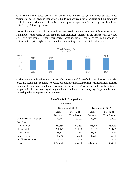2017. While our renewed focus on loan growth over the last four years has been successful, we continue to lag our peers in loan growth due to competitive pricing pressure and our continued credit discipline, which we believe is the most prudent approach for the long-term health and profitability of the Corporation.

Historically, the majority of our loans have been fixed-rate with maturities of three years or less. With interest rates poised to rise, there has been significant pressure in the market to make longer term fixed-rate loans. Despite this market pressure, we are confident the loan portfolio is positioned to reprice higher as interest rates rise resulting in increased interest income.



As shown in the table below, the loan portfolio remains well diversified. Over the years as market forces and regulations continue to evolve, our portfolio has migrated from residential real estate to commercial real estate. In addition, we continue to focus on growing the multifamily portion of the portfolio due to evolving demographics as millennials are delaying single-family home ownership relative to previous generations.

# **Loan Portfolio Composition**

\$ in thousands

|                         |                | December 31, 2016  |                | December 31, 2017  |
|-------------------------|----------------|--------------------|----------------|--------------------|
|                         | Loan           | Percent of         | Loan           | Percent of         |
|                         | <b>Balance</b> | <b>Total Loans</b> | <b>Balance</b> | <b>Total Loans</b> |
| Commercial & Industrial | \$48,417       | 6.05%              | \$43,444       | 5.26%              |
| <b>Real Estate:</b>     |                |                    |                |                    |
| Commercial              | 439,356        | 54.95%             | 458,376        | 55.50%             |
| Residential             | 201,148        | 25.16%             | 193,555        | 23.44%             |
| Multifamily             | 56,641         | 7.08%              | 76,952         | 9.32%              |
| Construction            | 46,540         | 5.82%              | 46,214         | 5.60%              |
| Installment & Other     | 7,526          | 0.94%              | 7,301          | 0.88%              |
| Total                   | \$799,628      | 100.00%            | \$825,842      | 100.00%            |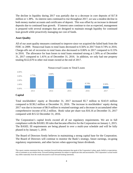The decline in liquidity during 2017 was partially due to a decrease in core deposits of \$17.8 million or 1.38%. As interest rates continued to rise throughout 2017, we saw a modest decline in both money market accounts and certificates of deposit. This was offset by an increase in demand deposits due to continued loan growth. If interest rates continue to rise as expected, management is prepared with several strategies that are designed to maintain enough liquidity for continued loan growth while proactively managing our cost of funds.

# **Asset Quality**

All of our asset quality measures continued to improve since we acquired the failed bank from the FDIC in 2009. Nonaccrual loans to total loans decreased to 0.56% in 2017 from 0.74% in 2016. Charge-offs net of recoveries to total loans also decreased to 0.06% in 2017 compared to 0.15% in 2016. The allowance for loan losses to total loans remained strong at 1.30% as of December 31, 2017 compared to 1.41% as of December 31, 2016. In addition, we only had one property totaling \$122,670 in other real estate owned at the end of 2017.



# **Capital**

Total stockholders' equity at December 31, 2017 increased \$5.7 million to \$143.9 million compared to \$138.2 million at December 31, 2016. The increase in stockholders' equity during 2017 was due to increase of \$6.9 million in retained earnings and a decrease in accumulated other comprehensive income of \$1.2 million. Book value per share was \$16.16 at December 31, 2017 compared with \$15.52 December 31, 2016.

The Corporation's capital levels exceed all of our regulatory requirements. We are in full compliance with the BASEL III rules that became effective for the Corporation on January 1, 2015. The BASEL III requirements are being phased in over a multi-year schedule and will be fully phased in by January 1, 2019.

The Board of Directors firmly believes in maintaining a strong capital base for the Corporation. The Board of Directors will continue to monitor the Bank's strategy, future earnings, on-going regulatory requirements, and other factors when approving future dividends.

This report contains statements that may constitute forward-looking statements that speak of the Corporation's plans, goals, beliefs or expectations, refer to estimates or use similar terms. Forward-looking statements are subject to significant risks and uncertainties. The Corporation's actual results may differ materially from the results discussed in such forward-looking statements.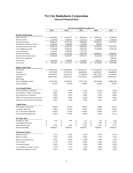# **Tri City Bankshares Corporation Selected Financial Data**

|                                                 | For the Year Ended December 31, |                        |    |                        |    |                 |    |                 |    |                         |
|-------------------------------------------------|---------------------------------|------------------------|----|------------------------|----|-----------------|----|-----------------|----|-------------------------|
|                                                 |                                 | 2013                   |    | 2014                   |    | 2015            |    | 2016            |    | 2017                    |
|                                                 |                                 |                        |    |                        |    |                 |    |                 |    |                         |
| <b>Results of Operations</b><br>Interest income | \$                              | 40,260,922             | \$ | 41,031,315             | \$ | 40,830,614      | \$ | 44,091,245      | \$ | 47,094,056              |
|                                                 |                                 | 1,914,793              |    | 1,285,720              |    | 1,146,131       |    | 1,241,042       |    | 1,562,534               |
| Interest expense<br>Net interest income         |                                 | 38,346,129             |    | 39,745,595             |    | 39,684,483      |    | 42,850,203      |    | 45,531,522              |
| Provision for loan losses ("PLL")               |                                 | 6,482,000              |    | 3,000,000              |    | 3,000,000       |    | 900,000         |    |                         |
| Net interest income after PLL                   |                                 | 31,864,129             |    | 36,745,595             |    | 36,684,483      |    | 41,950,203      |    | 45,531,522              |
| Core noninterest income                         |                                 | 17,332,360             |    | 13,854,562             |    | 15,851,292      |    | 15, 149, 208    |    | 15,322,514              |
| One-time income                                 |                                 | 2,152,957              |    | 1,001,628              |    | 3,167,791       |    |                 |    |                         |
| Noninterest expense                             |                                 | 37,993,007             |    | 39,122,018             |    | 39,802,394      |    | 40,988,691      |    | 42,668,461              |
| Income before income taxes                      |                                 | 13,356,439             |    | 12,479,767             |    | 15,901,172      |    | 16,110,720      |    | 18,185,575              |
|                                                 |                                 |                        |    |                        |    |                 |    |                 |    |                         |
| Deferred tax adjustment<br>Income taxes         |                                 | $\overline{a}$         |    |                        |    | 5,332,852       |    | 5,382,714       |    | 1,500,190               |
| Net income                                      | \$                              | 4,443,584<br>8,912,855 | \$ | 3,768,500<br>8,711,267 | \$ | 10,568,320      | \$ | 10,728,006      | \$ | 6,005,916<br>10,679,469 |
|                                                 |                                 |                        |    |                        |    |                 |    |                 |    |                         |
| <b>Balance Sheet Data</b>                       |                                 |                        |    |                        |    |                 |    |                 |    |                         |
| <b>Total assets</b>                             |                                 | \$1,180,647,180        |    | \$1,251,880,603        |    | \$1,332,293,272 |    | \$1,427,301,200 |    | \$1,414,721,950         |
| Securities                                      |                                 | 331,176,998            |    | 357,659,154            |    | 446,840,309     |    | 440,788,027     |    | 444,488,998             |
| Total loans, net                                |                                 | 670,639,122            |    | 676,541,152            |    | 717,106,439     |    | 788,371,693     |    | 815,109,422             |
| Deposits                                        |                                 | 1,058,775,995          |    | 1,120,507,223          |    | 1,195,119,232   |    | 1,284,805,692   |    | 1,267,051,615           |
| Borrowings                                      |                                 |                        |    |                        |    |                 |    |                 |    |                         |
| Total stockholders' equity                      |                                 | 118,215,584            |    | 127,836,562            |    | 133,771,359     |    | 138,186,448     |    | 143,865,498             |
| Loan to deposits                                |                                 | 63.34%                 |    | 60.38%                 |    | 60.00%          |    | 61.36%          |    | 64.33%                  |
| <b>Asset Quality Ratios</b>                     |                                 |                        |    |                        |    |                 |    |                 |    |                         |
| Nonaccrual loans to total loans                 |                                 | 2.71%                  |    | 3.04%                  |    | 1.51%           |    | 0.74%           |    | 0.56%                   |
| Past due loan >30 days to total loans           |                                 | 3.49%                  |    | 3.07%                  |    | 1.31%           |    | 1.01%           |    | 0.80%                   |
| Net charge-offs to total loans                  |                                 | 0.92%                  |    | 0.47%                  |    | 0.48%           |    | 0.15%           |    | 0.06%                   |
| Other real estate owned to total assets         |                                 | 0.48%                  |    | 0.38%                  |    | 0.24%           |    | 0.03%           |    | 0.01%                   |
| Allowance for loan losses to total loans        |                                 | 1.81%                  |    | 1.76%                  |    | 1.59%           |    | 1.41%           |    | 1.30%                   |
|                                                 |                                 |                        |    |                        |    |                 |    |                 |    |                         |
| <b>Capital Ratios</b>                           |                                 |                        |    |                        |    |                 |    |                 |    |                         |
| Total equity to total assets                    |                                 | 10.01%                 |    | 10.21%                 |    | 10.04%          |    | 9.68%           |    | 10.17%                  |
| Leverage capital ratio                          |                                 | 9.98%                  |    | 10.39%                 |    | 10.28%          |    | 10.06%          |    | 10.50%                  |
| Tier 1 risk based capital ratio                 |                                 | 15.93%                 |    | 16.70%                 |    | 16.64%          |    | 15.99%          |    | 15.97%                  |
| Total risk based capital ratio                  |                                 | 17.18%                 |    | 17.95%                 |    | 17.89%          |    | 17.24%          |    | 17.21%                  |
| Per Share Data                                  |                                 |                        |    |                        |    |                 |    |                 |    |                         |
| Earnings per share                              | \$                              | 1.00                   | \$ | 0.98                   | \$ | 1.19            | \$ | 1.20            | \$ | 1.20                    |
| Cash dividend declared                          | \$                              | L.                     | \$ |                        | \$ | 0.48            | \$ | 0.48            | \$ | 0.48                    |
| Book value per share                            | \$                              | 13.28                  | \$ | 14.36                  | \$ | 15.02           | \$ | 15.52           | \$ | 16.16                   |
| Shares outstanding                              |                                 | 8,904,915              |    | 8,904,915              |    | 8,904,915       |    | 8,904,915       |    | 8,904,915               |
| <b>Performance Ratios</b>                       |                                 |                        |    |                        |    |                 |    |                 |    |                         |
| Return on assets                                |                                 | 0.75%                  |    | 0.70%                  |    | 0.79%           |    | 0.75%           |    | 0.75%                   |
| Return on equity                                |                                 | 7.54%                  |    | 6.81%                  |    | 7.90%           |    | 7.76%           |    | 7.42%                   |
|                                                 |                                 |                        |    |                        |    |                 |    |                 |    |                         |
| Interest on earning assets                      |                                 | 3.65%                  |    | 3.67%                  |    | 3.48%           |    | 3.49%           |    | 3.57%                   |
| Cost of funds                                   |                                 | 0.17%                  |    | 0.12%                  |    | 0.10%           |    | 0.10%           |    | 0.12%                   |
| Net interest margin                             |                                 | 3.48%                  |    | 3.55%                  |    | 3.38%           |    | 3.39%           |    | 3.45%                   |
| Core noninterest income to assets               |                                 | 1.47%                  |    | 1.11%                  |    | 1.19%           |    | 1.06%           |    | 1.08%                   |
| Noninterest expense to assets                   |                                 | 3.22%                  |    | 3.13%                  |    | 2.99%           |    | 2.87%           |    | 3.02%                   |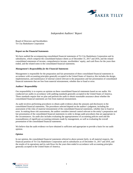

#### *Independent Auditors' Report*

Board of Directors and Stockholders Tri City Bankshares Corporation

#### **Report on the Financial Statements**

We have audited the accompanying consolidated financial statements of Tri City Bankshares Corporation and its subsidiaries, which comprise the consolidated balance sheets as of December 31, 2017 and 2016, and the related consolidated statements of income, comprehensive income, stockholders' equity, and cash flows for the years then ended, and the related notes to the consolidated financial statements.

#### *Management's Responsibility for the Financial Statements*

Management is responsible for the preparation and fair presentation of these consolidated financial statements in accordance with accounting principles generally accepted in the United States of America; this includes the design, implementation, and maintenance of internal control relevant to the preparation and fair presentation of consolidated financial statements that are free from material misstatement, whether due to fraud or error.

#### *Auditors' Responsibility*

Our responsibility is to express an opinion on these consolidated financial statements based on our audits. We conducted our audits in accordance with auditing standards generally accepted in the United States of America. Those standards require that we plan and perform the audit to obtain reasonable assurance about whether the consolidated financial statements are free from material misstatement.

An audit involves performing procedures to obtain audit evidence about the amounts and disclosures in the consolidated financial statements. The procedures selected depend on the auditor's judgment, including the assessment of the risks of material misstatement of the consolidated financial statements, whether due to fraud or error. In making those risk assessments, the auditor considers internal control relevant to the entity's preparation and fair presentation of the consolidated financial statements in order to design audit procedures that are appropriate in the circumstances. An audit also includes evaluating the appropriateness of accounting policies used and the reasonableness of significant accounting estimates made by management, as well as evaluating the overall presentation of the consolidated financial statements.

We believe that the audit evidence we have obtained is sufficient and appropriate to provide a basis for our audit opinion.

#### *Opinion*

In our opinion, the consolidated financial statements referred to above present fairly, in all material respects, the financial position of Tri City Bankshares Corporation and its subsidiaries as of December 31, 2017 and 2016, and the results of its operations and its cash flows for the years then ended in accordance with accounting principles generally accepted in the United States of America.

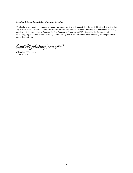#### *Report on Internal Control Over Financial Reporting*

We also have audited, in accordance with auditing standards generally accepted in the United States of America, Tri City Bankshares Corporation and its subsidiaries internal control over financial reporting as of December 31, 2017, based on criteria established in *Internal Control-Integrated Framework (2013),* issued by the Committee of Sponsoring Organizations of the Treadway Commission (COSO) and our report dated March 7, 2018 expressed an unqualified opinion.

Baker Tilly Virchaw Krause, LLP

Milwaukee, Wisconsin March 7, 2018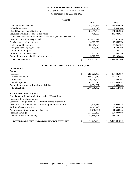CONSOLIDATED BALANCE SHEETS

As of December 31, 2017 and 2016

#### *ASSETS*

|                                                                        | 2017             | 2016              |
|------------------------------------------------------------------------|------------------|-------------------|
| Cash and due from banks                                                | \$<br>84,043,266 | \$<br>128,622,650 |
| Federal funds sold                                                     | 2,414,518        | 2,464,348         |
| Total Cash and Cash Equivalents                                        | 86,457,784       | 131,086,998       |
| Securities available for sale, at fair value                           | 444,488,998      | 440,788,027       |
| Loans, less allowance for loan losses of \$10,732,652 and \$11,256,774 |                  |                   |
| as of 2017 and 2016, respectively                                      | 815, 109, 422    | 788, 371, 693     |
| Premises and equipment - net                                           | 14,863,076       | 15,469,273        |
| Bank owned life insurance                                              | 38,301,624       | 37,256,129        |
| Mortgage servicing rights - net                                        | 1,455,810        | 1,602,769         |
| Core deposit intangible                                                |                  | 63,272            |
| Other real estate owned - net                                          | 122,670          | 469,350           |
| Accrued interest receivable and other assets                           | 13,922,566       | 12,193,689        |
| <b>TOTAL ASSETS</b>                                                    | 1,414,721,950    | 1,427,301,200     |

#### *LIABILITIES AND STOCKHOLDERS' EQUITY*

#### **LIABILITIES**

| Deposits                                                                                 |                   |                   |
|------------------------------------------------------------------------------------------|-------------------|-------------------|
| Demand                                                                                   | \$<br>293,775,453 | \$<br>267,485,080 |
| Savings and NOW                                                                          | 886,571,718       | 922,714,221       |
| Other time                                                                               | 86,704,444        | 94,606,391        |
| <b>Total Deposits</b>                                                                    | 1,267,051,615     | 1,284,805,692     |
| Accrued interest payable and other liabilities                                           | 3,804,837         | 4,309,060         |
| <b>Total Liabilities</b>                                                                 | 1,270,856,452     | 1,289,114,752     |
| <b>STOCKHOLDERS' EQUITY</b>                                                              |                   |                   |
| Cumulative preferred stock, \$1 par value 200,000 shares<br>authorized, no shares issued |                   |                   |
| Common stock, \$1 par value, 15,000,000 shares authorized,                               |                   |                   |
| 8,904,915 shares issued and outstanding in 2017 and 2016                                 | 8,904,915         | 8,904,915         |
| Additional paid-in-capital                                                               | 26,543,470        | 26,543,470        |
| Accumulated other comprehensive (loss)                                                   | (2,790,043)       | (1,569,545)       |
| Retained earnings                                                                        | 111,207,156       | 104,307,608       |
| Total Stockholders' Equity                                                               | 143,865,498       | 138,186,448       |
| <b>TOTAL LIABILITIES AND STOCKHOLDERS' EQUITY</b>                                        | 1,414,721,950     | 1,427,301,200     |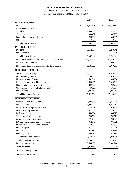#### CONSOLIDATED STATEMENTS OF INCOME

For the Years Ended December 31, 2017 and 2016

|                                                      | 2017             | 2016             |
|------------------------------------------------------|------------------|------------------|
| <b>INTEREST INCOME</b>                               |                  |                  |
| Loans                                                | \$<br>36,977,923 | \$<br>35,236,889 |
| Investment securities                                |                  |                  |
| Taxable                                              | 8,360,243        | 7,441,289        |
| Taxexempt                                            | 990,432          | 1,037,756        |
| Federal funds sold and due from banks                | 746,132          | 355,985          |
| Other                                                | 19,326           | 19,326           |
| <b>Total Interest Income</b>                         | 47,094,056       | 44,091,245       |
| <b>INTEREST EXPENSE</b>                              |                  |                  |
| Deposits                                             | 1,562,397        | 1,240,941        |
| Other borrowings                                     | 137              | 101              |
| <b>Total Interest Expense</b>                        | 1,562,534        | 1,241,042        |
| Net Interest Income before Provision for Loan Losses | 45,531,522       | 42,850,203       |
| Provision for loan losses                            |                  | 900,000          |
| Net Interest Income after Provision for Loan Losses  | 45,531,522       | 41,950,203       |
| <b>NONINTEREST INCOME</b>                            |                  |                  |
| Service charges on deposits                          | 10,717,443       | 9,818,172        |
| Loan servicing income                                | 295,340          | 378,748          |
| Net gain on sale of loans                            | 592,511          | 905,554          |
| Increase in bank owned life insurance                | 1,045,495        | 1,099,682        |
| Non-accretable loan discount                         | 329,920          | 769,702          |
| Gain on sale of other real estate owned              | 49,960           | 181,537          |
| Other income                                         | 2,291,845        | 1,995,813        |
| <b>Total Noninterest Income</b>                      | 15,322,514       | 15,149,208       |
| <b>NONINTEREST EXPENSES</b>                          |                  |                  |
| Salaries and employee benefits                       | 23,992,590       | 23,276,276       |
| Net occupancy costs                                  | 3,695,212        | 3,651,284        |
| Furniture and equipment expenses                     | 2,123,209        | 1,625,177        |
| Data processing expense                              | 4,412,296        | 4,240,365        |
| Professional fees                                    | 1,453,794        | 1,046,573        |
| Telecommunications expense                           | 745,514          | 762,572          |
| Advertising and promotional                          | 771,054          | 783,874          |
| FDIC and other regulatory assessments                | 762,946          | 906,321          |
| Operation of other real estate owned                 | 70,557           | 347,385          |
| Office supplies                                      | 917,017          | 871,281          |
| Postage                                              | 628,880          | 629,586          |
| Other expense                                        | 3,095,392        | 2,847,997        |
| <b>Total Noninterest Expense</b>                     | 42,668,461       | 40,988,691       |
| <b>Total Income before Taxes</b>                     | 18,185,575       | 16,110,720       |
| Less: Income tax expense                             | 7,506,106        | 5,382,714        |
| <b>NET INCOME</b>                                    | \$<br>10,679,469 | \$<br>10,728,006 |
| Basic earnings per share                             | \$<br>1.20       | \$<br>1.20       |
| Dividends per share                                  | \$<br>0.48       | \$<br>0.48       |

See accompanying notes to consolidated financial statements.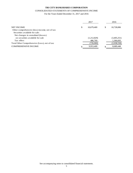#### CONSOLIDATED STATEMENTS OF COMPREHENSIVE INCOME

For the Years Ended December 31, 2017 and 2016

|                                                |    | 2017        |   | 2016        |
|------------------------------------------------|----|-------------|---|-------------|
| <b>NET INCOME</b>                              | \$ | 10,679,469  | S | 10,728,006  |
| Other comprehensive (loss) income, net of tax: |    |             |   |             |
| Securities available for sale:                 |    |             |   |             |
| Net changes in unrealized (losses)             |    |             |   |             |
| on securities available for sale               |    | (1,212,829) |   | (3,405,251) |
| Tax effect                                     |    | 486,769     |   | 1,366,693   |
| Total Other Comprehensive (Loss), net of tax:  |    | (726,060)   |   | (2,038,558) |
| <b>COMPREHENSIVE INCOME</b>                    | ۰D | 9,953,409   |   | 8,689,448   |

See accompanying notes to consolidated financial statements.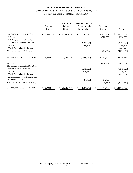# **TRI CITY BANKSHARES CORPORATION**  CONSOLIDATED STATEMENTS OF STOCKHOLDERS' EQUITY

For the Years Ended December 31, 2017 and 2016

|                                                 | Common<br>Stock | Additional<br>Paid-in<br>Capital | <b>Accumulated Other</b><br>Comprehensive<br>Income (Loss) | Retained<br>Earnings           | Total                           |
|-------------------------------------------------|-----------------|----------------------------------|------------------------------------------------------------|--------------------------------|---------------------------------|
| <b>BALANCES</b> - January 1, 2016<br>Net income | \$<br>8,904,915 | \$<br>26,543,470                 | \$<br>469,013                                              | \$<br>97,853,961<br>10,728,006 | \$<br>133,771,359<br>10,728,006 |
| Net changes in unrealized (loss)                |                 |                                  |                                                            |                                |                                 |
| on securities available for sale                |                 |                                  | (3,405,251)                                                |                                | (3,405,251)                     |
| Tax effect                                      |                 |                                  | 1,366,693                                                  |                                | 1,366,693                       |
| Total Comprehensive Income                      |                 |                                  |                                                            |                                | 8,689,448                       |
| Cash dividends - (\$0.48 per share)             |                 |                                  |                                                            | (4,274,359)                    | (4,274,359)                     |
| <b>BALANCES</b> - December 31, 2016             | 8,904,915       | 26,543,470                       | (1,569,545)                                                | 104,307,608                    | 138,186,448                     |
| Net income                                      |                 |                                  |                                                            | 10,679,469                     | 10,679,469                      |
| Net changes in unrealized (loss) on             |                 |                                  |                                                            |                                |                                 |
| securities available for sale                   |                 |                                  | (1,212,829)                                                |                                | (1,212,829)                     |
| Tax effect                                      |                 |                                  | 486,769                                                    |                                | 486,769                         |
| Total Comprehensive Income                      |                 |                                  |                                                            |                                | 9,953,409                       |
| Reclassification due to the adoption            |                 |                                  |                                                            |                                |                                 |
| of ASU No. 2018-02                              |                 |                                  | (494, 438)                                                 | 494,438                        |                                 |
| Cash dividends - (\$0.48 per share)             |                 |                                  |                                                            | (4,274,359)                    | (4,274,359)                     |
| <b>BALANCES</b> - December 31, 2017             | 8,904,915       | 26,543,470<br>\$                 | (2,790,043)<br>S                                           | \$<br>111,207,156              | 143,865,498                     |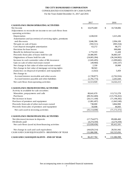#### CONSOLIDATED STATEMENTS OF CASH FLOWS

For the Years Ended December 31, 2017 and 2016

|                                                            |      | 2017           | 2016              |
|------------------------------------------------------------|------|----------------|-------------------|
| <b>CASH FLOWS FROM OPERATING ACTIVITIES</b>                |      |                |                   |
| Net Income                                                 | \$   | 10,679,469     | \$<br>10,728,006  |
| Adjustments to reconcile net income to net cash flows from |      |                |                   |
| operating activities:                                      |      |                |                   |
| Depreciation                                               |      | 1,638,018      | 1,615,436         |
| Amortization and (accretion) of servicing rights, premiums |      |                |                   |
| and discounts                                              |      | 3,046,396      | 2,994,109         |
| Net gain on sale of loans                                  |      | (592, 511)     | (905, 554)        |
| Core deposit intangible amortization                       |      | 63,272         | 98,275            |
| Provision for loan losses                                  |      |                | 900,000           |
| Benefit for deferred income taxes                          |      | 1,774,319      | 11,428            |
| Proceeds from sales of loans held for sale                 |      | 24,486,095     | 36,883,547        |
| Originations of loans held for sale                        |      | (24,065,284)   | (36,244,902)      |
| Increase in cash surrender value of life insurance         |      | (1,045,495)    | (1,099,682)       |
| Gain on sale of other real estate owned                    |      | (49,960)       | (181, 537)        |
| Net change in fair value of other real estate owned        |      | 2,330          | 18,900            |
| Net change in fair value of mortgage servicing rights      |      | 98,943         |                   |
| (Gain) loss on disposal of premises and equipment          |      | (1,022)        | 5,459             |
| Net change in:                                             |      |                |                   |
| Accrued interest receivable and other assets               |      | (1,728,877)    | (2,762,916)       |
| Accrued interest payable and other liabilities             |      | (1,791,773)    | 2,261,644         |
| Net cash flows from operating activities                   |      | 12,513,920     | 14,322,213        |
| <b>CASH FLOWS FROM INVESTING ACTIVITIES</b>                |      |                |                   |
| Activity in available for sale securities:                 |      |                |                   |
| Maturities, prepayments and calls                          |      | 80,641,670     | 113,712,278       |
| Purchases                                                  |      | (89, 352, 469) | (115, 756, 452)   |
| Net increase in loans                                      |      | (26, 111, 100) | (71, 196, 392)    |
| Purchase of premises and equipment                         |      | (1,081,497)    | (1,843,549)       |
| Proceeds from sale of other real estate owned              |      | 738,000        | 3,864,900         |
| Proceeds from sales of premises and equipment              |      | 50,698         | 46,843            |
| Net cash used in investing activities                      |      | (35, 114, 698) | (71, 172, 372)    |
| <b>CASH FLOWS FROM FINANCING ACTIVITIES</b>                |      |                |                   |
|                                                            |      |                |                   |
| Net (decrease) increase in deposits                        |      | (17,754,077)   | 89,686,460        |
| Dividends paid                                             |      | (4,274,359)    | (4,274,359)       |
| Net cash flows (used in) from financing activities         |      | (22,028,436)   | 85,412,101        |
| Net change in cash and cash equivalents                    |      | (44, 629, 214) | 28,561,942        |
| CASH AND CASH EQUIVALENTS - BEGINNING OF YEAR              |      | 131,086,998    | 102,525,056       |
| CASH AND CASH EQUIVALENTS - END OF YEAR                    | $\$$ | 86,457,784     | \$<br>131,086,998 |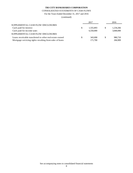#### CONSOLIDATED STATEMENTS OF CASH FLOWS

For the Years Ended December 31, 2017 and 2016

(continued)

|                                                         |   | 2017      |    | 2016      |
|---------------------------------------------------------|---|-----------|----|-----------|
| SUPPLEMENTAL CASH FLOW DISCLOSURES                      |   |           |    |           |
| Cash paid for interest                                  | S | 1.555.893 | S  | 1.234.266 |
| Cash paid for income taxes                              |   | 6,550,000 |    | 3,840,000 |
| SUPPLEMENTAL CASH FLOW DISCLOSURES                      |   |           |    |           |
| Loans receivable transferred to other real estate owned |   | 343.690   | \$ | 980,710   |
| Mortgage servicing rights resulting from sales of loans |   | 171,700   |    | 266,909   |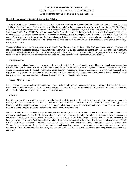#### **NOTE 1 - Summary of Significant Accounting Policies**

The consolidated financial statements of Tri City Bankshares Corporation (the "Corporation") include the accounts of its wholly owned subsidiary, Tri City National Bank (the "Bank"). The Bank includes the accounts of its wholly owned subsidiaries, Tri City Capital Corporation, a Nevada investment subsidiary, Title Service of Southeast Wisconsin, Inc., a title company subsidiary, TCNB Whole Health Investment Fund LLC and TCNB Aurora Investment Fund LLC, subsidiaries to facilitate tax credit investments. The consolidated financial statements have been prepared in conformity with accounting principles generally accepted in the United States of America ("U.S. GAAP") and conform to general practices within the banking industry. All significant intercompany accounts and transactions have been eliminated in the consolidated financial statements. The Corporation has evaluated the consolidated financial statements for subsequent events through the report issue date.

The consolidated income of the Corporation is principally from the income of the Bank. The Bank grants commercial, real estate and installment loans and accepts deposits primarily in Southeastern Wisconsin. The Corporation and the Bank are subject to competition from other financial institutions and nonfinancial institutions providing financial products. Additionally, the Corporation and the Bank are subject to the regulations of certain regulatory agencies and undergo periodic examination by those regulatory agencies.

#### *Use of Estimates*

In preparing consolidated financial statements in conformity with U.S. GAAP, management is required to make estimates and assumptions that affect the reported amounts of assets and liabilities as of the date of the balance sheet and reported amounts of revenues and expenses during the reporting period. Actual results could differ from those estimates. Material estimates that are particularly susceptible to significant change in the near term relate to the determination of the allowance for loan losses, valuation of other real estate owned, deferred taxes, other than temporary impairment of securities and fair values of financial instruments.

#### *Cash and Cash Equivalents*

For purposes of reporting cash flows, cash and cash equivalents include cash and balances due from banks and federal funds sold, all of which mature within ninety days. The Bank maintained amounts due from banks that exceeded federally insured limits as of December 31, 2017. The Bank has not experienced any losses in such accounts.

#### *Securities*

Securities are classified as available for sale when the Bank intends to hold them for an indefinite period of time but not necessarily to maturity. Securities available for sale are accounted for on a trade date basis and carried at fair value, with unrealized holding gains and losses excluded from net income and reported in accumulated other comprehensive income (loss), net of tax. Gains and losses on sales are recorded on the trade date and determined using the specific identification method.

Declines in the fair value of securities below their cost that are other-than-temporary due to credit issues are reflected as "Other than temporary impairment of securities" in the consolidated statements of income. In estimating other-than-temporary losses, management considers: (1) the length of time and extent that fair value has been less than cost, (2) the financial condition and near-term prospects of the issuer, and (3) the Corporation's ability and intent to hold the security for a period sufficient to allow for any anticipated recovery in fair value. The difference between the present values of the cash flows expected to be collected and the amortized cost basis is the credit loss. The credit loss is the portion of the other-than-temporary impairment that is recognized in earnings and is a reduction to the cost basis of the security. The portion of other-than-temporary impairment related to all other factors is included in other comprehensive income (loss), net of tax.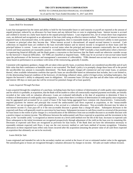#### **NOTE 1 - Summary of Significant Accounting Policies** (cont.)

#### *Loans Held For Investment*

Loans that management has the intent and ability to hold for the foreseeable future or until maturity or payoff are reported at the amount of unpaid principal, reduced by an allowance for loan losses and any deferred fees or costs in originating loans. Interest income is accrued and credited to income on a daily basis based on the unpaid principal balance. Loan origination fees, net of certain direct loan origination costs, are deferred and recognized as an adjustment of the loan yield using an effective interest method. The accrual of interest income on impaired loans is discontinued when, in the opinion of management, there is reasonable doubt as to the borrower's ability to meet payment of interest or principal when they become due. When interest accrual is discontinued, all unpaid accrued interest is reversed. Cash collections on impaired loans are credited to the loan receivable balance and no interest income is recognized on those loans until the principal balance is current. Loans are returned to accrual status when the principal and interest amounts contractually due are brought current and future payments are reasonably assured. A troubled debt restructuring ("TDR") includes a loan modification where a borrower is experiencing financial difficulty and the Bank grants a concession to that borrower that the Bank would not otherwise consider except for the borrower's financial difficulties. All TDRs are classified as impaired loans. TDRs may be on accrual or non-accrual status based upon the performance of the borrower and management's assessment of collectability. TDRs deemed non-accrual may return to accrued status based on performance in accordance with terms of the restructuring, generally 6 months.

Consistent with regulatory guidance, charge-offs are taken when specific loans, or portions thereof, are considered uncollectible and of such little value that their continuance as bankable assets is not warranted. The Bank's policy is to promptly charge these loans off in the period the uncollectible loss amount is reasonably determined. The Bank promptly charges-off commercial and real estate loans, or portions thereof, when available information confirms that specific loans are uncollectible based on information that includes, but is not limited to, (1) the deteriorating financial condition of the borrower, (2) declining collateral values, and/or (3) legal action, including bankruptcy, that impairs the borrower's ability to adequately meet its obligations. All consumer loans 120 days past due and all other loans with principal and interest 180 days or more past due will be reviewed for potential charge-off at least quarterly.

#### *Loans Acquired Through Purchase*

Loans acquired through the completion of a purchase, including loans that have evidence of deterioration of credit quality since origination and for which it is probable, at acquisition, that the Bank will be unable to collect all contractually-required payments receivable, are initially recorded at fair value with no valuation allowance. Loans are evaluated individually at the date of acquisition to determine if there is evidence of deterioration of credit quality since origination. Loans where there is evidence of deterioration of credit quality since origination may be aggregated and accounted for as a pool of loans if the loans being aggregated have common risk characteristics. Contractuallyrequired payments for interest and principal that exceed the undiscounted cash flows expected at acquisition, or the "nonaccretable difference," are not recognized as a yield adjustment, a loss accrual or a valuation allowance. Non-accretable discount may be taken to non-interest income if a loan pays-off or if the non-accretable discount is greater than a charge-off taken. Subsequent decreases to the expected cash flows will generally result in a provision for loan losses. Subsequent increases in cash flows result in a reversal of the provision for loan losses to the extent of prior charges or a reclassification of the difference from non-accretable discount to accretable discount with a positive impact on interest income. The difference between the undiscounted cash flows expected at acquisition and the investment in the loan, or the "accretable yield," is recognized as interest income on a level-yield method over the life of the loan. Increases in expected cash flows subsequent to the initial investment are recognized prospectively through adjustment of the yield on the loan over its remaining life. Decreases in expected cash flows are recognized as provision for loan losses. If the Bank does not have the information necessary to reasonably estimate expected cash flows, it may use the cost recovery method or cash basis method of income recognition. Valuation allowances on these impaired loans reflect only losses incurred after the acquisition (meaning the present value of all cash flows expected at acquisition that ultimately are not to be received).

#### *Loans Held for Sale*

Loans originated and intended for sale in the secondary market are carried at the lower of cost or estimated market value in the aggregate. Net unrealized gains or losses are recognized through a valuation allowance by charges to income. All sales are made without recourse.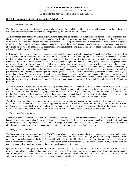#### **NOTE 1 - Summary of Significant Accounting Policies** (cont.)

#### *Allowance for Loan Losses*

The allowance for loan losses reflects management's best estimate of the probable and inherent losses on loans and is based on a risk model developed and implemented by management and approved by the Bank's Board of Directors.

The allowance for loan losses is a valuation allowance for probable and inherent losses incurred in the loan portfolio. Management maintains allowances for loan losses at levels deemed adequate to absorb estimated probable credit losses inherent in the loan portfolio. The adequacy of the allowances is determined based on periodic evaluations of the loan portfolios and other relevant factors. The allowance is comprised of both a specific component and a general component. Even though the entire allowance is available to cover losses on any loan, specific allowances are provided on impaired loans pursuant to accounting standards. The general allowance is based on historical loss experience, adjusted for qualitative and environmental factors.

In determining the general allowance management has segregated the loan portfolio by loan class. For each class of loan, a historical loss factor is computed. In determining the appropriate period of activity to use in computing the historical loss factor management reviews trends in net charge-off ratios. It is management's intention to utilize a period of activity that is most reflective of current experience. Changes in the historical period are made when there is a distinct change in the trend of net charge-off experience. Management adjusts the historical loss factors for the impact of the following qualitative factors: asset quality, changes in volume and terms, policy changes, ability of management, economic trends, industry conditions, changes in credit concentrations and competitive/legal factors. In determining the impact, if any, of an individual qualitative factor, management compares the current underlying facts and circumstances surrounding a particular factor with those in the historical periods, adjusting the historical loss factor in a directionally consistent manner with changes in the qualitative factor. Management separately evaluates both the Bank's historical portfolio as well as acquired loans that have renewed and are eligible to be considered as part of the general allowance. Management will continue to analyze the qualitative factors on a quarterly basis, adjusting the historical loss factor both up and down, to a factor deemed appropriate for the probable and inherent risk of loss in its portfolio.

Specific allowances are determined as a result of the impairment process. When a loan is identified as impaired it is evaluated for loss using either the fair value of collateral method or the present value of cash flows method. If the present value of expected cash flows or the fair value of collateral exceeds the Bank's carrying value of the loan, no loss is anticipated and no specific reserve is established. However, if the Bank's carrying value of the loan is greater than the present value of expected cash flows or fair value of collateral, a specific reserve is established. In either situation, loans identified as impaired are excluded from the calculation of the general reserve.

The allowance for loan losses is increased by provisions charged to earnings and reduced by charge-offs, net of recoveries. The adequacy of the allowance for loan losses is reviewed and approved by the Bank's Board of Directors on a quarterly basis. In addition, various regulatory agencies periodically review the allowance for loan losses. These agencies may suggest additions to the allowance for loan losses based on their judgments of collectability based on information available to them at the time of their examination.

#### *Transfers of Financial Assets*

Transfers of financial assets are accounted for as sales when control over the assets has been surrendered. Control over transferred assets is deemed to be surrendered when (1) the assets have been isolated from the Bank, (2) the transferee obtains the right (free of conditions that constrain it from taking advantage of that right) to pledge or exchange the transferred assets, and (3) the Bank does not maintain effective control over the transferred assets through an agreement to repurchase them before their maturity.

#### *Mortgage Servicing Rights*

The Bank records a mortgage servicing right ("MSR") asset when it continues to service borrower payments and perform maintenance activities on loans in which the loan has been sold to secondary market investors. The servicing rights are initially capitalized at 75 basis points on an individual loan level basis. In the period in which the loan is sold to the secondary market investors, the gain on sale of the loan is increased by the value of the initial MSR. Amortization of MSRs is calculated based on actual payment activity on a per loan basis and is included in loan servicing income on the consolidated statements of income.

Quarterly impairment testing is performed by the Bank to determine if an impairment on the MSRs exits. Quarterly the Bank engages a third party specialist to calculate the fair value using significant inputs/assumptions such as prepayment speed, default rates, cost to service and discount rates. A valuation allowance is recorded when the fair value of the MSRs is less than its amortized cost. Changes in the valuation allowance are recorded as loan servicing income on the consolidated statements of income.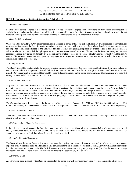#### **NOTE 1 - Summary of Significant Accounting Policies** (cont.)

#### *Premises and Equipment*

Land is carried at cost. Depreciable assets are stated at cost less accumulated depreciation. Provisions for depreciation are computed on straight-line methods over the estimated useful lives of the assets, which range from 3 to 10 years for furniture and equipment and 15 to 40 years for buildings and lease-hold improvements. Repairs and maintenance costs are expensed as incurred.

#### *Other Real Estate Owned*

Other real estate owned ("OREO") comprises real estate acquired in partial or full satisfaction of loans. OREO is recorded at fair value less estimated selling costs at the date of transfer, establishing a new cost basis, with any excess of the related loan balance over the fair value less expected selling costs charged to the allowance for loan losses. Subsequently, properties are evaluated and if fair value declines, a valuation allowance is recorded through operation of other real estate owned expense. The amount the Bank ultimately recovers on repossessed assets may differ substantially from the net carrying value of these assets because of future market factors beyond the Bank's control. Net costs of maintaining and operating the properties are expensed to operation of other real estate owned as incurred on the consolidated statements of income.

#### *Intangible Assets*

The Bank's intangible assets include the value of ongoing customer relationships (core deposit intangible) arising from the purchase of certain assets and the assumption of certain liabilities from unrelated entities. Core deposit intangibles are amortized over an eight year period. Any impairment in the intangibles would be recorded against income in the period of impairment. No impairment was recorded during the years ended December 31, 2017 and 2016.

#### *New Market Tax Credits*

As part of its Community Reinvestment Act responsibilities and due to their favorable economics, the Corporation invests in tax creditmotivated projects primarily in the markets it serves. These projects are directed at tax credits issued under the Federal New Markets Tax Credits. The Corporation generates its returns on tax credit motivated projects through the receipt of federal tax credits. The federal tax credits are recorded as an offset to the income tax provision in the year that they are earned under federal income tax law – over 7 years for Federal NMTC upon the investment of funds into the qualifying project. These credits, if not used in the tax return for the year of origination, can be carried forward for 20 years.

The Corporation invested in one tax credit during each of the years ended December 31, 2017 and 2016, totaling \$3.0 million and \$2.4 million, respectively. As of December 31, 2017 and 2016 the Corporation had total tax credits of \$4.4 million and \$2.0 million, respectively.

#### *Federal Reserve Bank Stock*

The Bank's investment in Federal Reserve Bank ("FRB") stock meets the minimum amount required by current regulations and is carried at cost, which approximates fair value.

#### *Off-Balance Sheet Financial Instruments*

In the ordinary course of business the Bank has entered into off-balance sheet financial instruments consisting of commitments to extend credit, commercial letters of credit and standby letters of credit. Such financial instruments are recorded in the consolidated financial statements when they are funded or related fees are incurred or received.

#### *Derivative Financial Instruments*

The Bank utilizes derivative financial instruments to meet the ongoing credit needs of its customers and in order to manage the market exposure of its residential loans held for sale and its commitments to extend credit for residential loans. Derivative financial instruments include commitments to extend credit. The Bank does not use interest rate contracts (e.g. swaps, caps, floors) or other derivatives to manage interest rate risk and has none of these instruments outstanding at December 31, 2017 or 2016.

#### *Advertising Costs*

All advertising costs incurred by the Bank are expensed in the period in which they are incurred and recorded in noninterest expense.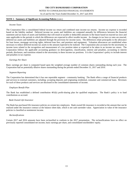#### **NOTE 1 - Summary of Significant Accounting Policies** (cont.)

#### *Income Taxes*

The Corporation files a consolidated federal income tax return and combined state income tax returns. Income tax expense is recorded based on the liability method. Deferred income tax assets and liabilities are computed annually for differences between the financial statement and tax bases of assets and liabilities that will result in taxable or deductible amounts in the future based on enacted tax laws and rates applicable to the periods in which the differences are expected to affect taxable income. As changes in tax laws or rates are enacted, deferred tax assets and liabilities are adjusted through the provision for income taxes. The differences relate principally to the allowance for loan losses, mortgage servicing rights, deferred loan fees, and premises and equipment. Valuation allowances are established when necessary to reduce deferred income tax assets to the amount expected to be realized. The Corporation also accounts for the uncertainty in income taxes related to the recognition and measurement of a tax position taken or expected to be taken in an income tax return. The Corporation follows the applicable accounting guidance on derecognition, classification, interest and penalties, accounting in interim periods, disclosure, and transition related to the uncertainty in these income tax positions. It is the Corporation's policy to include interest and penalties in tax expense.

#### *Earnings Per Share*

Basic earnings per share is computed based upon the weighted average number of common shares outstanding during each year. The Corporation had no potentially dilutive shares outstanding during the periods ended December 31, 2017 and 2016.

#### *Segment Reporting*

The Corporation has determined that it has one reportable segment - community banking. The Bank offers a range of financial products and services to external customers, including: accepting deposits and originating residential, consumer and commercial loans. Revenues for each of these products and services are disclosed in the consolidated statements of income.

#### *Employee Benefit Plan*

The Bank has established a defined contribution 401(k) profit-sharing plan for qualified employees. The Bank's policy is to fund contributions as accrued.

#### *Bank Owned Life Insurance*

The Bank has purchased life insurance policies on certain key employees. Bank owned life insurance is recorded at the amount that can be realized under the insurance contract at the balance sheet date, which is net cash surrender value. Appreciation in value of the insurance policies is classified as noninterest income.

#### *Reclassifications*

Certain 2017 and 2016 amounts have been reclassified to conform to the 2017 presentation. The reclassifications have no effect on previously reported consolidated net income, basic earnings per share, and consolidated stockholders' equity.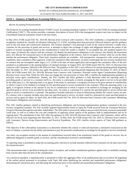#### **NOTE 1 - Summary of Significant Accounting Policies** (cont.)

#### *Recent Accounting Pronouncements*

The Financial Accounting Standards Board ("FASB") issues Accounting Standards Updates ("ASU"s) to the FASB Accounting Standards Codification ("ASC"). This section provides a summary description of recent ASUs that management expects may have an impact on the consolidated financial statements issued in the near future.

In May 2014, FASB issued ASU No. 2014-09, *Revenue from Contracts with Customers*. This ASU establishes a comprehensive revenue recognition standard for virtually all industries following U.S. GAAP, including those that previously followed industry-specific guidance such as the real estate and construction industries. The revenue standard's core principal is built on the contract between a vendor and a customer for the provision of goods and services. It attempts to depict the exchange of rights and obligations between the parties in the pattern of revenue recognition based on the consideration to which the vendor is entitled. To accomplish this, the standard requires five basic steps: (i) identify the contract with the customer, (ii) identify the performance obligations in the contract, (iii) identify the transaction price, (iv) allocate the transaction price to the performance obligations in the contract, and (v) recognize revenue when (or as) the entity satisfies the performance obligation. Three basic transition methods are available - full retrospective, retrospective with certain practical expedients, and a cumulative effect approach. Under the cumulative effect alternative, an entity would apply the new revenue standard only to contracts that are incomplete under legacy U.S. GAAP at the date of initial application and recognize the cumulative effect of the new standard as an adjustment to the opening balance of retained earnings. In August 2015, the FASB issued ASU No. 2015-14, Revenue from Contracts with Customers: Deferral of the Effective Date. The guidance in this ASU is now effective for annual reporting periods beginning after December 15, 2017. All entities may apply the guidance as early as reporting periods beginning after December 15, 2016. In March 2016, the FASB issued ASU No. 2016-08, Revenue from Contracts with Customers: Principal versus Agent Considerations (Reporting Revenue Gross versus Net). While the ASU does not change the core provisions of Topic 606, it clarifies the implementation guidance on principal versus agent considerations. Namely, the ASU clarifies and offers guidance to help determine when the reporting entity is providing goods or services to a customer itself (i.e., the entity is a principal), or merely arranging for that good or service to be provided by the other party (i.e., the reporting entity is an agent). If the entity is a principal, it recognizes revenue in the gross amount of consideration to which it expects to be entitled in exchange for the specified good or service transferred to the customer. When the reporting entity is an agent, it recognizes revenue in the amount of any fee or commission to which it expects to be entitled in exchange for arranging for the specified good or service to be provided by the other party. An entity is a principal if it controls the specified good or service before that good or service is transferred to a customer. The guidance includes indicators to assist in determining whether the control criteria are met. If a contract with a customer includes more than one specified good or service, an entity could be a principal for some specified goods or services and an agent for others. In April 2016, the FASB issued ASU No. 2016-10, Revenue from Contracts with Customers: Identifying Performance Obligations and Licensing.

This ASU clarifies guidance related to identifying performance obligations and licensing implementation guidance contained in the new revenue recognition standard. The ASU includes targeted improvements based on input the FASB received from the Transition Resource Group for Revenue Recognition and other stakeholders. The ASU seeks to proactively address areas in which diversity in practice potentially could arise, as well as to reduce the cost and complexity of applying certain aspects of the guidance both at implementation and on an ongoing basis. The amendments in this ASU affect the guidance in ASU 2014-09, Revenue from Contracts with Customers, which will be effective for fiscal years beginning after December 31, 2017. In May 2016, the FASB issued ASU No. 2016-12, Revenue from Contracts with Customers: Narrow-Scope Improvements and Practical Expedients. This ASU clarifies certain aspects of Topic 606 guidance as follows:

•The objective of the collectability assessment is to determine whether the contract is valid and represents a substantive transaction on the basis of whether a customer has the ability and intention to pay the promised consideration in exchange for the goods or services transferred.

•An entity can recognize revenue in the amount of consideration received when it has transferred control of the goods or services, has no additional obligation to transfer goods or services, and the consideration received is nonrefundable.

•A reporting entity is permitted to make the accounting policy election to exclude amounts collected from customers for all sales taxes from the transaction price.

•The measurement date is specified as being the contract inception, and variable consideration guidance applies only to variability resulting from reasons other than the form of the consideration.

•As a practical expedient, a reporting entity is permitted to reflect the aggregate effect of all modifications that occur before the beginning of the earliest period presented in accordance with Topic 606 when identifying the satisfied and unsatisfied performance obligations, determining the transaction price, and allocating the transaction price to the satisfied and unsatisfied performance obligations.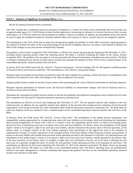#### **NOTE 1 - Summary of Significant Accounting Policies** (cont.)

#### *Recent Accounting Pronouncements (continued)*

•The ASU clarifies that a completed contract for purposes of transition is a contract for which all (or substantially all) of the revenue was recognized under legacy U.S. GAAP before the date of initial application. Accounting for elements of a contract that do not affect revenue under legacy U.S. GAAP are irrelevant to the assessment of whether a contract is complete. In addition, the amendments in this ASU permit an entity to apply the modified retrospective transition method either to all contracts or only to contracts that are not completed contracts.

The amendments in this ASU clarify that an entity that retrospectively applies the guidance in Topic 606 to each prior reporting period is not required to disclose the effect of the accounting change for the period of adoption. However, an entity is still required to disclose the effect of the changes on any prior periods retrospectively adjusted.

The guidance in the revenue recognition ASUs listed above is effective for annual reporting periods beginning after December 15, 2017, including interim reporting periods within that reporting period. The Bank is currently evaluating the impact of the various revenue recognition ASUs. The guidance does not apply to revenue associated with financial instruments, including loans and securities. The Bank is currently evaluating its non-interest revenue sources and does not anticipate the adoption of these ASUs to have a material impact on its consolidated operations, financial position and cash flows.

In January 2016, the FASB issued ASU No. 2016-01, "*Financial Instruments – Overall (Subtopic 825-10): Recognition and Measurement of Financial Assets and Financial Liabilities*." The amendments in ASU 2016-01, among other things:

•Requires equity investments (except those accounted for under the equity method of accounting, or those that result in consolidation of the investee) to be measured at fair value with changes in fair value recognized in net income.

•Requires public business entities to use the exit price notion when measuring the fair value of financial instruments for disclosure purposes.

•Requires separate presentation of financial assets and financial liabilities by measurement category and form of financial asset (i.e., securities or loans and receivables).

•Eliminates the requirement for public business entities to disclose the method(s) and significant assumptions used to estimate the fair value that is required to be disclosed for financial instruments measured at amortized cost.

The amendments are effective for fiscal years beginning after December 15, 2017. The new guidance permits early adoption of the own credit provision. In addition, the new guidance permits early adoption of the provision that exempts private companies and not-for-profit organizations from having to disclose fair value information about financial instruments measured at amortized cost. The Bank does not expect the adoption of the new standard to have a material impact on the consolidated operations, financial position and cash flows of the Bank.

In February 2016, the FASB issued ASU 2016-02, "*Leases (Topic 842)*." The amendments in this update increase transparency and comparability among organizations by recognizing lease assets and lease liabilities on the balance sheet and disclosing key information about leasing arrangements. For leases with a term of 12 months or less, the amendments permit lessee's to make an accounting policy election by class of underlying assets not to recognize lease assets and lease liabilities. For finance leases, the amendments in this update require a lessee to 1) recognize a right-of use asset and a lease liability, initially measured at the present value of the lease payments, on the balance sheet; 2) recognize interest on the lease liability separately from amortization of the right-of-use asset in the statement of comprehensive income; 3) classify repayments of the principal portion of the lease liability within financing activities and payments of interest on the lease liability and variable lease payments within operating activities in the statement of cash flows. For operating leases, the amendments in this update require a lessee to 1) recognize a right-of-use asset and a lease liability, initially measured at the present value of the lease payments, on the balance sheet; 2) recognize a single lease cost, calculated so that the cost of the lease is allocated over the lease term on a generally straight-line basis; 3) classify all cash payments within operating activities in the statement of cash flows. The amendments are effective for fiscal years beginning after December 15, 2018. Early adoption is permitted. The Bank's leases are operating leases and ASU 2016-02 will require us to add them to our consolidated balance sheet. The Bank's operating leases are predominantly related to real estate. Management is currently evaluating other impacts this guidance will have on the consolidated operations, financial position and cash flows of the Bank.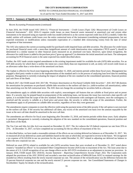#### **NOTE 1 - Summary of Significant Accounting Policies** (cont.)

#### *Recent Accounting Pronouncements (continued)*

In June 2016, the FASB issued ASU 2016-13, "*Financial Instruments – Credit Losses (Topic 326): Measurement of Credit Losses on Financial Instruments"*. ASU 2016-13 requires credit losses on most financial assets measured at amortized cost and certain other instruments to be measured using an expected credit loss model (referred to as the current expected credit loss (CECL) model). Under this model, entities will estimate credit losses over the entire contractual term of the instrument (considering estimated prepayments, but not expected extensions or modifications unless reasonable expectation of a troubled debt restructuring exists) from the date of initial recognition of that instrument.

The ASU also replaces the current accounting model for purchased credit impaired loans and debt securities. The allowance for credit losses for purchased financial assets with a more-than insignificant amount of credit deterioration since origination ("PCD assets"), should be determined in a similar manner to other financial assets measured on an amortized cost basis. However, upon initial recognition, the allowance for credit losses is added to the purchase price ("gross up approach") to determine the initial amortized cost basis. The subsequent accounting for PCD financial assets is the same expected loss model described above.

Further, the ASU made certain targeted amendments to the existing impairment model for available-for-sale (AFS) debt securities. For an AFS debt security for which there is neither the intent nor a more-likely-than-not requirement to sell, an entity will record credit losses as an allowance rather than a write-down of the amortized cost basis.

The Update is effective for fiscal years beginning after December 15, 2020, and interim periods within those fiscal years. Management has engaged a third party vendor to assist in the implementation of the standard and is in the process of analyzing loan level data for modeling purposes. Management is currently evaluating the impact of adoption of the new standard on the consolidated operations, financial position and cash flows of the Bank.

In March 2017, the FASB issued ASU 2017-08, "*Premium Amortization on Purchased Callable Debt Securities"*. ASU 2017-08 shortens the amortization for premiums on purchased callable debt securities to the earliest call date (i.e. yield-to-earliest call amortization), rather than amortizing over the full contractual term. The ASU does not change the accounting for securities held at a discount.

The amendments apply to callable debt securities with explicit, noncontingent call features that are callable at fixed prices and on preset dates. If a security may be prepaid based on prepayments of the underlying loans, not because the issuer has exercised a date specific call option, it is excluded from the scope of the new standard. However, for instruments with contingent call features, once the contingency is resolved and the security is callable at a fixed price and preset date, the security is within the scope of the amendment. Further, the amendments apply to all premiums on callable debt securities, regardless of how they were generated.

The amendments require companies to reset the effective yield using the payment terms of the debt security if the call option is not exercised on the earliest call date. If the security has additional call dates, any excess of the amortized cost basis over the amount repayable by the issuer at the next call date should be amortized to the next call date.

The amendments are effective for fiscal years beginning after December 15, 2018, and interim periods within those years. Early adoption is permitted. Management is currently evaluating the adoption of the new standard on the consolidated operations, financial position and cash flows of the Bank.

The Tax Cuts and Jobs Act (the Act) was enacted on December 22, 2017. The Act reduces the US federal corporate tax rate from 35% to 21%. At December 31, 2017, we have completed our accounting for the tax effects of enactment of the Act.

As described below, we have made a reasonable estimate of the effects on our existing deferred tax balances as of December 31, 2017. We re-measured all of our deferred tax assets and liabilities based on the rates at which they are expected to reverse in the future. We recognized a tax expense of \$1,522,034 in our tax provision for the year ended December 31, 2017 related to adjusting our deferred tax balance to reflect the new corporate tax rate.

Deferred tax asset (DTA) related to available for sale (AFS) securities losses that were revalued as of December 31, 2017 noted above created a "stranded tax effects" in Accumulated Other Comprehensive Income (AOCI) due to enactment of the Act. The issue arose due to the nature of U.S. GAAP recognition of tax rate change effects on the AFS DTA revaluation as an adjustment to income tax provision. In January 2018, FASB issued ASU 2018-02, *Income Statement – Reporting Comprehensive Income (Topic 202)*. The Corporation early adopted the provisions of the ASU 2018-02 and recorded a one-time reclassification of \$494,438 from AOCI to retained earnings for the stranded tax effects resulting from the newly enacted corporate tax rate. The amount of the reclassification was the difference between the 35 percent historical corporate tax rate and the newly enacted 21 percent corporate tax rate. See Consolidated Statements of Changes in Stockholders' Equity for details of the reclassification.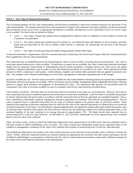#### As of and for the Years Ended December 31, 2017 and 2016

#### **NOTE 2 - Fair Value of Financial Instruments**

The accounting guidance for fair value measurements and disclosures establishes a three-level valuation hierarchy for disclosure of fair value measurements. The valuation hierarchy favors the transparency of inputs to the valuation of an asset or liability as of the measurement date and thereby favors use of Level 1 if appropriate information is available, and otherwise Level 2 and finally Level 3 if a Level 2 input is not available. The three levels are defined as follows.

- Level 1 Fair value is based upon quoted prices (unadjusted) for identical assets or liabilities in active markets in which the Corporation can participate.
- $\bullet$  Level 2 Fair value is based upon quoted prices for similar (i.e., not identical) assets and liabilities in active markets, and other inputs that are observable for the asset or liability, either directly or indirectly, for substantially the full term of the financial instrument.
- Level 3 Fair value is based upon financial models using primarily unobservable inputs.

A financial instrument's categorization within the valuation hierarchy is based upon the lowest level of input within the valuation hierarchy that is significant to the fair value measurement.

The Corporation has an established process for determining fair value of assets on both a recurring and nonrecurring basis. Fair value is based upon quoted market prices, where available. If listed prices or quotes are not available, fair value is based upon internally developed models that use primarily market-based or independently-sourced market parameters, including interest rate yield curves and option volatilities. Valuation adjustments may be made to ensure that financial instruments are recorded at fair value. These adjustments include amounts to reflect counterparty credit quality, creditworthiness, liquidity and unobservable parameters that are applied consistently over time. Any changes to the valuation methodology are reviewed by management to determine appropriateness of the changes.

*Securities available for sale* - The fair value of securities available for sale is determined by obtaining market price quotes from independent third parties wherever such quotes are available. Where such quotes are not available, management utilizes independent third party valuation analysis to support these estimates and judgments in determining fair value. The subsequent table presents, for the periods noted the Corporation's fair value of securities available for sale in accordance with the fair value hierarchy described above.

*Loans held for investment -* The Bank does not record loans held for investment at fair value on a recurring basis. However, from time to time, a particular loan may be considered impaired and an allowance for loan losses established. Loans for which it is probable that payment of interest and principal will not be made in accordance with the contractual terms of the loan agreement are considered impaired. Once a loan is identified as individually impaired, management measures impairment in accordance with relevant accounting guidance. The fair value of impaired loans is estimated using either the fair value of collateral method or the present value of cash flows method. Those impaired loans requiring an allowance represent loans for which the fair value of the expected repayments or collateral does not exceed the recorded investments in such loans. For individually evaluated impaired loans, the significant unobservable inputs include the present value of expected future cash flows discounted at the loans effective interest rate, the underlying collateral for collateral-dependent loans, or the estimated liquidity of the note, resulting in an average discount of approximately 15%. The Bank records these impaired loan as nonrecurring level 3 in the fair value hierarchy. At December 31, 2017 and 2016, substantially all of the impaired loans were evaluated based on the fair value of the collateral.

*Other real estate owned -* Loans on which the underlying collateral has been repossessed are recorded at fair value less estimated costs to sell upon transfer to OREO establishing a new cost basis. Fair value is based upon independent market prices, appraised values of the collateral or management's estimation of the value of the collateral and recorded as nonrecurring level 3 in the fair value hierarchy.

The methods described above may produce a fair value estimate that may not be indicative of net realizable value or reflective of future fair values. Further, while the Corporation believes its valuation methods are appropriate and consistent with other market participants, the use of different methodologies or assumptions to determine the fair value of certain financial instruments could result in different estimates of fair values of the same financial instruments at the reporting date.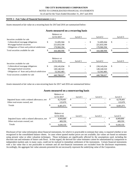#### NOTES TO CONSOLIDATED FINANCIAL STATEMENTS

As of and for the Years Ended December 31, 2017 and 2016

#### **NOTE 2 - Fair Value of Financial Instruments** (cont.)

Assets measured at fair value on a recurring basis for 2017and 2016 are summarized below:

#### **Assets measured on a recurring basis**

|                                                                                                                                                       | Balance at                               |    |         |  |                                          |    |         |
|-------------------------------------------------------------------------------------------------------------------------------------------------------|------------------------------------------|----|---------|--|------------------------------------------|----|---------|
|                                                                                                                                                       | 12/31/2017                               |    | Level 1 |  | Level 2                                  |    | Level 3 |
| Securities available for sale<br>Collateralized mortgage obligations<br>M ortgage-backed securities<br>Obligations of State and political subdivision | 51,695,504<br>221,833,100<br>170,960,394 | \$ |         |  | 51,695,504<br>221,833,100<br>170,960,394 | \$ |         |
| Total securities available for sale                                                                                                                   | 444,488,998                              | S  |         |  | 444,488,998                              | \$ |         |
|                                                                                                                                                       | Balance at<br>12/31/2016                 |    | Level 1 |  | Level 2                                  |    | Level 3 |
| Securities available for sale                                                                                                                         |                                          |    |         |  |                                          |    |         |
| Collateralized mortgage obligations                                                                                                                   | \$<br>239,145,034                        | \$ |         |  | 239, 145, 034                            | \$ |         |
| Mortgage-backed securities<br>Obligations of State and political subdivision                                                                          | 149,140,510<br>52,502,483                |    |         |  | 149,140,510<br>52,502,483                |    |         |
| Total securities available for sale                                                                                                                   | 440.788.027                              | \$ |         |  | 440.788.027                              | S  |         |

Assets measured at fair value on a non-recurring basis for 2017 and 2016 are summarized below:

#### **Assets measured on a nonrecurring basis**

|                                                                              |               | Balance at<br>12/31/2017 |    | Level 1 |    | Level 2 |    | Level 3              |
|------------------------------------------------------------------------------|---------------|--------------------------|----|---------|----|---------|----|----------------------|
| Impaired loans with a related allowance, net<br>Other real estate owned, net | $\mathcal{P}$ | 8,278,401<br>122,670     | Ъ. |         | ъ. |         |    | 8,278,401<br>122,670 |
| Totals                                                                       |               | 8,401,071                |    |         |    |         |    | 8,401,071            |
|                                                                              |               | Balance at<br>12/31/2016 |    | Level 1 |    | Level 2 |    | Level 3              |
| Impaired loans with a related allowance, net<br>Other real estate owned, net |               | 8,969,800<br>469,350     | \$ |         |    |         | J. | 8,969,800<br>469,350 |
| Totals                                                                       |               | 9,439,150                | S  |         |    |         |    | 9,439,150            |

Disclosure of fair value information about financial instruments, for which it is practicable to estimate that value, is required whether or not recognized in the consolidated balance sheets. In cases where quoted market prices are not available, fair values are based on estimates using present value or other valuation techniques. Those techniques are significantly affected by the assumptions used, including the discount rate and estimates of future cash flows. In that regard, the derived fair value estimates cannot be substantiated by comparison to independent markets and, in many cases, could not be realized in immediate settlement of the instruments. Certain financial instruments with a fair value that is not practicable to estimate and all non-financial instruments are excluded from the disclosure requirements. Accordingly, the aggregate fair value amounts presented do not necessarily represent the underlying value of the Corporation.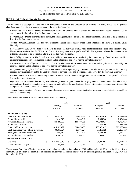As of and for the Years Ended December 31, 2017 and 2016

#### **NOTE 2 - Fair Value of Financial Instruments (**cont.)

The following is a description of the valuation methodologies used by the Corporation to estimate fair value, as well as the general classification of financial instruments pursuant to the valuation hierarchy:

 *Cash and due from banks* – Due to their short-term nature, the carrying amount of cash and due from banks approximates fair value and is categorized as a level 1 in the fair value hierarchy.

 *Fed funds sold –* Due to their short-term nature, the carrying amount of Fed funds sold approximates fair value and is categorized as a level 1 in the fair value hierarchy.

*Available for sale securities* – The fair value is estimated using quoted market prices and is categorized as a level 2 in the fair value hierarchy.

*Federal Reserve Bank Stock* – It is not practical to determine the fair value of FRB stock due to restrictions placed on its transferability. No secondary market exists for FRB stock. The stock is bought and sold at par by the FRB. Management believes the recorded value is the fair value and is categorized as a level 2 in the fair value hierarchy.

*Loans held for investment* – The fair value of loans held for investment is estimated using the rates currently offered for loans held for investment segregated by loan purpose and term and is categorized as a level 3 in the fair value hierarchy.

*Cash surrender value of life insurance –* Fair value is based on the cash surrender value of the individual policies as provided by the insurance agency and is categorized as a level 2 in the fair value hierarchy.

*Mortgage servicing rights -* The fair value of MSRs is estimated using third-party information for selected asset price tables for servicing cost and servicing fees applied to the Bank's portfolio of serviced loans and is categorized as a level 2 in the fair value hierarchy.

*Accrued interest receivable –* The carrying amount of accrued interest receivable approximates fair value and is categorized as a level 1 in the fair value hierarchy.

*Deposits -* The fair value of demand deposits and savings accounts approximates the carrying amount. The fair value of fixed maturity certificates of deposit is estimated using the rates currently offered for certificates of deposit with similar remaining maturities and is categorized as a level 3 in the fair value hierarchy.

*Accrued interest payable –* The carrying amount of accrued interest payable approximates fair value and is categorized as a level 1 in the fair value hierarchy.

The estimated fair values of financial instruments as of December 31,

|                                        | 2017                |    | 2016          |                     |    |               |
|----------------------------------------|---------------------|----|---------------|---------------------|----|---------------|
|                                        | Carrying            |    | Estimated     | Carrying            |    | Estimated     |
|                                        | Amount              |    | Fair Value    | Amount              |    | Fair Value    |
| <b>FINANCIAL ASSETS</b>                |                     |    |               |                     |    |               |
| Cash and due from banks                | \$<br>84,043,266    | \$ | 84,043,266    | \$<br>128,622,650   | \$ | 128,622,650   |
| Federal funds sold                     | 2,414,518           |    | 2,414,518     | 2,464,348           |    | 2,464,348     |
| Available for sale securities          | 444,488,998         |    | 444,488,998   | 440,788,027         |    | 440,788,027   |
| Federal reserve stock                  | 322,100             |    | 322,100       | 322,100             |    | 322,100       |
| Loans held for investment              | 815, 109, 422       |    | 814,879,493   | 788,371,693         |    | 789,186,409   |
| Cash surrender value of life insurance | 38, 301, 624        |    | 38, 301, 624  | 37,256,129          |    | 37,256,129    |
| Mortgage servicing rights, net         | 1,455,810           |    | 1,455,810     | 1,602,769           |    | 1,632,421     |
| Accrued interest receivable            | 3,748,673           |    | 3,748,673     | 3,803,031           |    | 3,803,031     |
| <b>FINANCIAL LIABILITIES</b>           |                     |    |               |                     |    |               |
| Deposits                               | \$<br>1,267,051,615 | \$ | 1,265,965,221 | \$<br>1,284,805,692 | \$ | 1,283,721,533 |
| Accrued interest payable               | 84,763              |    | 84,763        | 78,122              |    | 78,122        |

The estimated fair value of fee income on letters of credit outstanding at December 31, 2017 and December 31, 2016 is insignificant. Loan commitments on which the committed interest rate is less than the current market rate are also insignificant at December 31, 2017 and December 31, 2016.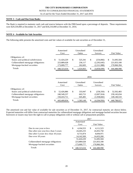As of and for the Years Ended December 31, 2017 and 2016

#### **NOTE 3 - Cash and Due from Banks**

The Bank is required to maintain vault cash and reserve balances with the FRB based upon a percentage of deposits. These requirements were \$29,539,000 at December 31, 2017 and \$18,210,000 at December 31, 2016.

#### **NOTE 4 - Available for Sale Securities**

The following table presents the amortized costs and fair values of available for sale securities as of December 31,

|                                     |    | 2017              |     |                     |              |                      |              |             |  |
|-------------------------------------|----|-------------------|-----|---------------------|--------------|----------------------|--------------|-------------|--|
|                                     |    | Amortized<br>Cost |     | Unrealized<br>Gains |              | Unrealized<br>Losses |              | Fair Value  |  |
| Obligations of:                     |    |                   |     |                     |              |                      |              |             |  |
| States and political subdivisions   | \$ | 51,424,229        | \$  | 525,341             | \$           | (254,066)            | \$           | 51,695,504  |  |
| Collateralized mortgage obligations |    | 223,889,628       |     | 236,117             |              | (2,292,645)          |              | 221,833,100 |  |
| Mortgage-backed securities          |    | 173,009,777       |     | 262,605             |              | (2,311,988)          |              | 170,960,394 |  |
| Totals                              | S  | 448,323,634       | \$. | 1,024,063           | \$           | (4,858,699)          |              | 444,488,998 |  |
|                                     |    |                   |     |                     | 2016         |                      |              |             |  |
|                                     |    | Amortized<br>Cost |     | Unrealized<br>Gains |              | Unrealized<br>Losses |              | Fair Value  |  |
| Obligations of:                     |    |                   |     |                     |              |                      |              |             |  |
| States and political subdivisions   | \$ | 52,426,886        | \$  | 333,947             | $\mathbb{S}$ | (258,350)            | $\mathbb{S}$ | 52,502,483  |  |
| Collateralized mortgage obligations |    | 240,549,237       |     | 603,721             |              | (2,007,924)          |              | 239,145,034 |  |
| Mortgage-backed securities          |    | 150,433,711       |     | 645,481             |              | (1,938,682)          |              | 149,140,510 |  |
| Totals                              | \$ | 443,409,834       | \$  | 1,583,149           | \$           | (4,204,956)          | \$           | 440,788,027 |  |

The amortized cost and fair value of available for sale securities as of December 31, 2017, by contractual maturity are shown below. Expected maturities will differ from contractual maturities for collateralized mortgage obligations and mortgage backed securities because borrowers or issuers may have the right to call or prepay obligations with or without call or prepayment penalties.

|                                      |   |              | 2017 |             |
|--------------------------------------|---|--------------|------|-------------|
|                                      |   | Amortized    |      |             |
|                                      |   | Cost         |      | Fair Value  |
| Due in one year or less              | S | 4, 104, 553  | \$.  | 4,111,523   |
| Due after one year less than 5 years |   | 24,445,233   |      | 24,455,750  |
| Due after 5 years less than 10 years |   | 8,731,874    |      | 8,694,971   |
| Due over 10 years                    |   | 14, 142, 569 |      | 14,433,260  |
|                                      |   | 51,424,229   |      | 51,695,504  |
| Collateralized mortgage obligations  |   | 223,889,628  |      | 221,833,100 |
| Mortgage backed securities           |   | 173,009,777  |      | 170,960,394 |
| <b>Totals</b>                        |   | 448.323.634  |      | 444.488.998 |
|                                      |   |              |      |             |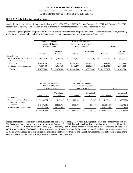#### As of and for the Years Ended December 31, 2017 and 2016

#### **NOTE 4 - Available for Sale Securities** (cont.)

Available for sale securities with an amortized cost of \$113,336,085 and \$126,816,123 at December 31, 2017 and December 31, 2016, respectively, were pledged as collateral on public deposits and for other purposes as required or permitted by law.

The following table presents the portion of the Bank's available for sale securities portfolio which has gross unrealized losses, reflecting the length of time that individual securities have been in a continuous unrealized loss position as of December 31:

|                                                              |                       |    |                      |    |                             | 2017 |                      |       |               |    |                      |
|--------------------------------------------------------------|-----------------------|----|----------------------|----|-----------------------------|------|----------------------|-------|---------------|----|----------------------|
|                                                              | Continuous unrealized |    |                      |    | Continuous unrealized       |      |                      |       |               |    |                      |
|                                                              | losses existing for   |    |                      |    | losses existing for greater |      |                      |       |               |    |                      |
|                                                              | 12 months or less     |    |                      |    | than 12 months              |      |                      | Total |               |    |                      |
|                                                              | Fair Value            |    | Unrealized<br>Losses |    | Fair Value                  |      | Unrealized<br>Losses |       | Fair Value    |    | Unrealized<br>Losses |
| Obligations of:                                              |                       |    |                      |    |                             |      |                      |       |               |    |                      |
| States and political subdivisions<br>Collateralized mortgage | \$<br>12.560,630      | \$ | (123, 247)           | \$ | 5.135.765                   | \$   | (130.819)            | S     | 17.696.395    | \$ | (254,066)            |
| obligations                                                  | 105,308,756           |    | (938,500)            |    | 69,049,533                  |      | (1,354,145)          |       | 174,358,289   |    | (2,292,645)          |
| Mortgage-backed securities                                   | 71,517,498            |    | (1,011,494)          |    | 47,665,290                  |      | (1,300,494)          |       | 119, 182, 788 |    | (2,311,988)          |
| Totals                                                       | 189,386,884           |    | (2,073,241)          | S  | 121,850,588                 |      | (2,785,458)          | S.    | 311,237,472   |    | (4,858,699)          |

|                                   |    |                                          |    |             |    |                             | 2016 |            |       |             |    |             |
|-----------------------------------|----|------------------------------------------|----|-------------|----|-----------------------------|------|------------|-------|-------------|----|-------------|
|                                   |    | Continuous unrealized                    |    |             |    | Continuous unrealized       |      |            |       |             |    |             |
|                                   |    | losses existing for<br>12 months or less |    |             |    | losses existing for greater |      |            |       |             |    |             |
|                                   |    |                                          |    |             |    | than 12 months              |      |            | Total |             |    |             |
|                                   |    |                                          |    | Unrealized  |    |                             |      | Unrealized |       |             |    | Unrealized  |
|                                   |    | Fair Value                               |    | Losses      |    | Fair Value                  |      | Losses     |       | Fair Value  |    | Losses      |
| Obligations of:                   |    |                                          |    |             |    |                             |      |            |       |             |    |             |
| States and political subdivisions | \$ | 14.239.276                               | \$ | (249.005)   | \$ | 206,525                     | \$   | (9,345)    | S     | 14.445.801  | \$ | (258,350)   |
| Collateralized mortgage           |    |                                          |    |             |    |                             |      |            |       |             |    |             |
| obligations                       |    | 146, 137, 131                            |    | (1,938,724) |    | 5,677,797                   |      | (69,200)   |       | 151,814,928 |    | (2,007,924) |
| Mortgage-backed securities        |    | 103,309,886                              |    | (1,938,682) |    |                             |      |            |       | 103,309,886 |    | (1,938,682) |
| Totals                            |    | 263,686,293                              |    | (4,126,411) |    | 5,884,322                   |      | (78, 545)  | SS.   | 269,570,615 |    | (4,204,956) |

Management does not believe any individual unrealized loss as of December 31, 2017 and 2016 represents other than temporary impairment. The Bank held thirty-four investment securities as of December 31, 2017 that had unrealized losses existing for greater than 12 months, which consisted of fifteen collateralized mortgage obligations, eight mortgage-backed securities and eleven obligations of states and political subdivisions. The Bank held three investment securities at December 31, 2016 that had unrealized losses existing for greater than 12 months, which consisted of two obligations of states and political subdivisions and one collateralized mortgage obligation. Management does not believe that the Bank will experience any losses on these investments.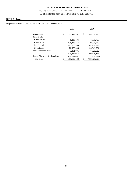#### **NOTE 5 – Loans**

Major classifications of loans are as follows as of December 31:

|                                 | 2017                | 2016              |
|---------------------------------|---------------------|-------------------|
| Commercial                      | \$<br>43,443,761    | \$<br>48,416,976  |
| <b>Real Estate</b>              |                     |                   |
| Construction                    | 46.213.504          | 46,539,706        |
| Commercial                      | 458,376,164         | 439,356,010       |
| Residential                     | 193,555,109         | 201,148,919       |
| Multifamily                     | 76,952,505          | 56,641,334        |
| Installment and other           | 7,301,031           | 7,525,522         |
|                                 | 825, 842, 074       | 799,628,467       |
| Less: Allowance for loan losses | (10, 732, 652)      | (11,256,774)      |
| Net loans                       | \$<br>815, 109, 422 | \$<br>788,371,693 |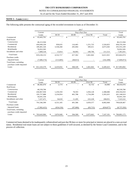# NOTES TO CONSOLIDATED FINANCIAL STATEMENTS

As of and for the Years Ended December 31, 2017 and 2016

#### **NOTE 5 – Loans** (cont.)

The following table presents the contractual aging of the recorded investment in loans as of December 31:

|                                                    |       | 2017        |           |           |    |           |       |           |     |            |     |               |
|----------------------------------------------------|-------|-------------|-----------|-----------|----|-----------|-------|-----------|-----|------------|-----|---------------|
|                                                    |       | Current     |           |           |    |           | Total |           |     |            |     |               |
|                                                    | Loans |             | $30 - 59$ |           |    | 60-89     |       | Over 90   |     | Total      |     | Loans         |
| Commercial                                         |       | 43,443,761  | \$        |           | S  |           | S     |           | ъ   |            | \$  | 43,443,761    |
| <b>Real Estate</b>                                 |       |             |           |           |    |           |       |           |     |            |     |               |
| Construction                                       |       | 46,213,504  |           |           |    |           |       |           |     |            |     | 46,213,504    |
| Commercial                                         |       | 456,049,339 |           | 958,635   |    | 116,465   |       | 1,251,725 |     | 2,326,825  |     | 458,376,164   |
| Residential                                        |       | 189,481,526 |           | 3,558,268 |    | 205,904   |       | 309,411   |     | 4,073,583  |     | 193,555,109   |
| <b>Multifamily</b>                                 |       | 76,952,505  |           |           |    |           |       |           |     |            |     | 76,952,505    |
| Installment and other                              |       | 7,089,518   |           | 15,814    |    | 94,993    |       | 100,706   |     | 211,513    |     | 7,301,031     |
| Total loans                                        |       | 819,230,153 |           | 4,532,717 |    | 417,362   |       | 1,661,842 |     | 6,611,921  |     | 825, 842, 074 |
| Purchase credit-                                   |       |             |           |           |    |           |       |           |     |            |     |               |
| impaired loans                                     |       | (7,686,574) |           | (113,685) |    | (48, 813) |       |           |     | (162, 498) |     | (7,849,072)   |
| Total loans, excluding<br>purchase credit-impaired |       |             |           |           |    |           |       |           |     |            |     |               |
| Loans                                              | \$    | 811,543,579 | \$        | 4,419,032 | \$ | 368,549   | \$    | 1,661,842 | \$. | 6,449,423  | \$. | 817,993,002   |

|                                                    |   | 2016        |           |                          |       |          |         |           |       |            |    |             |  |
|----------------------------------------------------|---|-------------|-----------|--------------------------|-------|----------|---------|-----------|-------|------------|----|-------------|--|
|                                                    |   | Current     |           |                          |       |          | Total   |           |       |            |    |             |  |
|                                                    |   | Loans       | $30 - 59$ |                          | 60-89 |          | Over 90 |           | Total |            |    | Loans       |  |
| Commercial                                         | S | 48,382,070  | S         | 2,174                    | \$    |          | ъ       | 32,732    | ъ     | 34,906     | S. | 48,416,976  |  |
| <b>Real Estate</b>                                 |   |             |           |                          |       |          |         |           |       |            |    |             |  |
| Construction                                       |   | 46,539,706  |           |                          |       |          |         |           |       |            |    | 46,539,706  |  |
| Commercial                                         |   | 436,967,930 |           | 1,259,359                |       | 78,593   |         | 1,050,128 |       | 2,388,080  |    | 439,356,010 |  |
| Residential                                        |   | 195,757,888 |           | 3,234,954                |       | 401,788  |         | 1,754,289 |       | 5,391,031  |    | 201,148,919 |  |
| <b>Multifamily</b>                                 |   | 56,641,334  |           | $\overline{\phantom{0}}$ |       |          |         |           |       |            |    | 56,641,334  |  |
| Installment and other                              |   | 7,257,471   |           | 34,618                   |       | 11,205   |         | 222,228   |       | 268,051    |    | 7,525,522   |  |
| Total loans                                        |   | 791,546,399 |           | 4,531,105                |       | 491,586  |         | 3,059,377 |       | 8,082,068  |    | 799,628,467 |  |
| Purchase credit-                                   |   |             |           |                          |       |          |         |           |       |            |    |             |  |
| impaired loans                                     |   | (7,902,415) |           | (654, 156)               |       | (97,006) |         | (83,715)  |       | (834, 877) |    | (8,737,292) |  |
| Total loans, excluding<br>purchase credit-impaired |   |             |           |                          |       |          |         |           |       |            |    |             |  |
| Loans                                              |   | 783,643,984 | \$        | 3,876,949                | \$    | 394,580  |         | 2,975,662 |       | 7,247,191  |    | 790,891,175 |  |
|                                                    |   |             |           |                          |       |          |         |           |       |            |    |             |  |

Commercial loans deemed to be inadequately collateralized and past due 90 days or more for principal or interest are placed in a non-accrual status. Residential real estate loans are not subject to these guidelines if well-secured, as deemed by the Senior Loan Committee, and in the process of collection.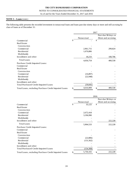# NOTES TO CONSOLIDATED FINANCIAL STATEMENTS

As of and for the Years Ended December 31, 2017 and 2016

#### **NOTE 5 – Loans** (cont.)

The following table presents the recorded investment in nonaccrual loans and loans past due ninety days or more and still accruing by class of loans as of December 31:

|                                                       |                 | 2017 |                     |
|-------------------------------------------------------|-----------------|------|---------------------|
|                                                       |                 |      | Past due 90 days or |
|                                                       | Nonaccrual      |      | More and accruing   |
| Commercial                                            | \$              | \$   |                     |
| Real Estate                                           |                 |      |                     |
| Construction                                          |                 |      |                     |
| Commercial                                            | 2,961,715       |      | 299,824             |
| Residential                                           | 1,676,806       |      |                     |
| Multifamily                                           |                 |      |                     |
| Installment and other                                 | 18,233          |      | 100,706             |
| <b>Total Loans</b>                                    | 4,656,754       |      | 400,530             |
| Purchase Credit Impaired Loans:                       |                 |      |                     |
| Commercial                                            |                 |      |                     |
| <b>Real Estate</b>                                    |                 |      |                     |
| Construction                                          |                 |      |                     |
| Commercial                                            | (16, 897)       |      |                     |
| Residential                                           | (22,948)        |      |                     |
| Multifamily                                           |                 |      |                     |
| Installment and other                                 |                 |      |                     |
| <b>Total Purchased Credit-Impaired Loans</b>          | (39, 845)       |      |                     |
| Total Loans, excluding Purchase Credit Impaired Loans | \$<br>4,616,909 | \$   | 400,530             |

|                                                       | 2016         |    |                     |  |  |  |  |
|-------------------------------------------------------|--------------|----|---------------------|--|--|--|--|
|                                                       |              |    | Past due 90 days or |  |  |  |  |
|                                                       | Nonaccrual   |    | More and accruing   |  |  |  |  |
| Commercial                                            | \$<br>35,125 | \$ |                     |  |  |  |  |
| Real Estate                                           |              |    |                     |  |  |  |  |
| Construction                                          |              |    |                     |  |  |  |  |
| Commercial                                            | 2,672,418    |    |                     |  |  |  |  |
| Residential                                           | 3,196,990    |    |                     |  |  |  |  |
| Multifamily                                           |              |    |                     |  |  |  |  |
| Installment and other                                 |              |    | 222,228             |  |  |  |  |
| <b>Total Loans</b>                                    | 5,904,533    |    | 222,228             |  |  |  |  |
| Purchase Credit Impaired Loans:                       |              |    |                     |  |  |  |  |
| Commercial                                            |              |    |                     |  |  |  |  |
| Real Estate                                           |              |    |                     |  |  |  |  |
| Construction                                          |              |    |                     |  |  |  |  |
| Commercial                                            | (22, 806)    |    |                     |  |  |  |  |
| Residential                                           | (131, 562)   |    |                     |  |  |  |  |
| Multifamily                                           |              |    |                     |  |  |  |  |
| Installment and other                                 |              |    |                     |  |  |  |  |
| <b>Total Purchased Credit-Impaired Loans</b>          | (154, 368)   |    |                     |  |  |  |  |
| Total Loans, excluding Purchase Credit Impaired Loans | 5,750,165    |    | 222,228             |  |  |  |  |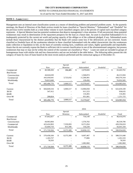As of and for the Years Ended December 31, 2017 and 2016

#### **NOTE 5 – Loans** (cont.)

Management uses an internal asset classification system as a means of identifying problem and potential problem assets. At the quarterly meetings, the Board of Directors of the Bank reviews trends for loans classified as "Special Mention," "Substandard" and "Doubtful" for the previous twelve months both as a total dollar volume in each classified category and as the percent of capital each classified category represents. A Special Mention loan has potential weaknesses that deserve management's close attention. If left uncorrected, these potential weaknesses may result in deterioration of the repayment prospects for the loan at a future date. An asset is classified Substandard if it is inadequately protected by the current net worth and paying capacity of the obligor or of the collateral pledged, if any. Substandard assets include those characterized by the distinct possibility that the Bank will sustain some loss if the deficiencies are not corrected. Assets classified as Doubtful have all the weaknesses inherent in those classified Substandard with the added characteristic that the weaknesses make collection or liquidation in full, on the basis of currently existing facts, conditions and values, highly questionable and improbable. Assets that do not currently expose the Bank to sufficient risk to warrant classification in one of the aforementioned categories, but possess weaknesses that may or may not be within the control of the customer are classified as "Pass." Loans not rated are included in groups of homogeneous loans with similar risk and loss characteristics and are not included in the table below. The following tables present the risk category of loans by class of loans based on the most recent analysis performed and the contractual aging as of December 31:

|                    |     |             |    |           |    | 2017        |    |                          |    |             |  |
|--------------------|-----|-------------|----|-----------|----|-------------|----|--------------------------|----|-------------|--|
|                    |     | Special     |    |           |    |             |    |                          |    |             |  |
|                    |     | Pass        |    | Mention   |    | Substandard |    | Doubtful                 |    | Total       |  |
| Commercial         | \$. | 40,588,450  | \$ | 184,485   | \$ | 2,670,826   | \$ | $\overline{\phantom{a}}$ | S  | 43,443,761  |  |
| <b>Real Estate</b> |     |             |    |           |    |             |    |                          |    |             |  |
| Construction       |     | 44,644,630  |    |           |    | 1,568,874   |    |                          |    | 46,213,504  |  |
| Commercial         |     | 443,450,641 |    | 3,725,032 |    | 11,200,491  |    |                          |    | 458,376,164 |  |
| Multifamily        |     | 76,813,049  |    |           |    | 139,456     |    |                          |    | 76,952,505  |  |
| Total              | \$. | 605,496,770 | \$ | 3,909,517 |    | 15,579,647  | \$ |                          |    | 624,985,934 |  |
| Current            | \$. | 604,849,534 | \$ | 3,909,517 | \$ | 13,900,058  | \$ | $\overline{\phantom{0}}$ | \$ | 622,659,109 |  |
| 30-59              |     | 347,412     |    |           |    | 611,223     |    |                          |    | 958,635     |  |
| 60-89              |     | ٠           |    |           |    | 116,465     |    |                          |    | 116,465     |  |
| Over 90            |     | 299,824     |    |           |    | 951,901     |    |                          |    | 1,251,725   |  |
| Total              | \$  | 605,496,770 | \$ | 3,909,517 |    | 15,579,647  | \$ |                          |    | 624,985,934 |  |

|                    |     |             |                 |    | 2016        |                                |    |             |
|--------------------|-----|-------------|-----------------|----|-------------|--------------------------------|----|-------------|
|                    |     |             | Special         |    |             |                                |    |             |
|                    |     | Pass        | Mention         |    | Substandard | Doubtful                       |    | Total       |
| Commercial         | S   | 47,662,827  | \$              | S  | 754,149     | \$<br>$\overline{\phantom{0}}$ | S  | 48,416,976  |
| <b>Real Estate</b> |     |             |                 |    |             |                                |    |             |
| Construction       |     | 44,963,004  |                 |    | 1,576,702   |                                |    | 46,539,706  |
| Commercial         |     | 423,424,963 | 7,559,993       |    | 8,371,054   |                                |    | 439,356,010 |
| Multifamily        |     | 55,669,710  | 815,396         |    | 156,228     |                                |    | 56,641,334  |
| Total              | \$. | 571,720,504 | \$<br>8,375,389 |    | 10,858,133  | \$                             |    | 590,954,026 |
| Current            | \$  | 570,458,184 | \$<br>8,375,389 | \$ | 9,697,467   | \$                             | \$ | 588,531,040 |
| $30 - 59$          |     | 1,183,727   |                 |    | 77,806      |                                |    | 1,261,533   |
| 60-89              |     | 78,593      |                 |    | ۰           |                                |    | 78,593      |
| Over 90            |     |             |                 |    | 1,082,860   |                                |    | 1,082,860   |
| Total              |     | 571,720,504 | \$<br>8,375,389 |    | 10,858,133  | \$                             |    | 590,954,026 |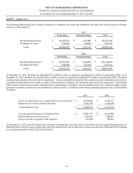#### **NOTE 5 – Loans** (cont.)

The following table presents the recorded investment in residential real estate and installment and other loan classes based on payment activity as of December 31:

|                                                | 2017                           |    |                      |    |                          |  |  |  |  |  |
|------------------------------------------------|--------------------------------|----|----------------------|----|--------------------------|--|--|--|--|--|
|                                                | Performing                     |    | Nonperforming        |    | Total                    |  |  |  |  |  |
| Residential Real Estate<br>Installment & Other | \$<br>191,878,303<br>7,182,092 | \$ | 1,676,806<br>118,939 | \$ | 193,555,109<br>7,301,031 |  |  |  |  |  |
| <b>Totals</b>                                  | \$<br>199,060,395              | \$ | 1,795,745            | \$ | 200,856,140              |  |  |  |  |  |
|                                                |                                |    | 2016                 |    |                          |  |  |  |  |  |
|                                                | Performing                     |    | Nonperforming        |    | Total                    |  |  |  |  |  |
| Residential Real Estate<br>Installment & Other | \$<br>197.951.929<br>7,303,294 | \$ | 3,196,990<br>222,228 | \$ | 201,148,919<br>7,525,522 |  |  |  |  |  |
| <b>Totals</b>                                  | \$<br>205,255,223              | \$ | 3,419,218            | \$ | 208, 674, 441            |  |  |  |  |  |

At December 31, 2017, the Bank has identified \$19.3 million of loans as impaired, including \$14.6 million of performing TDRs. As of December 31, 2016, the Bank has identified \$21.6 million of loans as impaired, including \$15.5 million of performing TDRs. The Bank evaluates loans placed on the watch list for impairment. A loan is identified as impaired when, based on current information and events, it is probable that the Bank will be unable to collect all amounts due according to the contractual terms of the loan agreement. A performing TDR consists of loans that have been modified and are performing in accordance with the modified terms for a sufficient length of time, generally six months, or loans that were modified on a proactive basis. A summary of the details regarding impaired loans as of December 31 follows:

|                                                                                                         |    | 2017                    |     | 2016                    |
|---------------------------------------------------------------------------------------------------------|----|-------------------------|-----|-------------------------|
| Loans for which there was a related allowance for loan loss<br>Impaired loans with no related allowance | S, | 10,740,668<br>8,562,106 | \$  | 12,356,717<br>9,196,384 |
| <b>Total Impaired Loans</b>                                                                             | \$ | 19,302,774              | \$. | 21,553,101              |
|                                                                                                         |    |                         |     |                         |
| Average quarterly balance of impaired loans                                                             | \$ | 19,987,775              | S   | 25,314,903              |
| Related allowance for loan losses                                                                       |    | 2,462,267               |     | 3,386,917               |
| Interest income recognized while impaired                                                               |    | 661,608                 |     | 640.981                 |

At December 31, 2017 and 2016 respectively, the Bank had residential real estate loans in foreclosure with an unpaid principal balance of \$494,696 and \$1,703,810, partial charge-offs of \$67,616 and \$342,307 and an allowance for loan loss allocation of \$0 and \$2,878 resulting in a recorded investment of \$427,353 and \$1,358,625.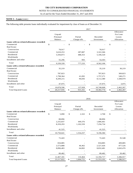#### NOTES TO CONSOLIDATED FINANCIAL STATEMENTS

As of and for the Years Ended December 31, 2017 and 2016

#### **NOTE 5 – Loans** (cont.)

#### The following table presents loans individually evaluated for impairment by class of loans as of December 31:

|                                           |    | 2017                                  |     |                        |     |                        |    |                                               |  |  |
|-------------------------------------------|----|---------------------------------------|-----|------------------------|-----|------------------------|----|-----------------------------------------------|--|--|
|                                           |    | Unpaid<br>Principal<br><b>Balance</b> |     | Partial<br>Charge-offs |     | Recorded<br>Investment |    | Allowance<br>For Loan<br>Losses<br>Allocation |  |  |
| Loans with no related allowance recorded: |    |                                       |     |                        |     |                        |    |                                               |  |  |
| Commercial                                | \$ |                                       | \$  |                        | \$. |                        | \$ |                                               |  |  |
| <b>Real Estate</b>                        |    |                                       |     |                        |     |                        |    |                                               |  |  |
| Construction                              |    | 78,917                                |     |                        |     | 78,917                 |    |                                               |  |  |
| Commercial                                |    | 3,610,253                             |     | 287,887                |     | 3,322,366              |    |                                               |  |  |
| Residential                               |    | 5,594,873                             |     | 488,353                |     | 5,106,520              |    |                                               |  |  |
| Multifamily                               |    |                                       |     |                        |     |                        |    |                                               |  |  |
| Installment and other                     |    | 55,296                                |     | 993                    |     | 54,303                 |    |                                               |  |  |
| Total                                     |    | 9,339,339                             |     | 777,233                |     | 8,562,106              |    |                                               |  |  |
| Loans with a related allowance recorded:  |    |                                       |     |                        |     |                        |    |                                               |  |  |
| Commercial                                |    | 35,219                                |     |                        |     | 35,219                 |    | 30,219                                        |  |  |
| <b>Real Estate</b>                        |    |                                       |     |                        |     |                        |    |                                               |  |  |
| Construction                              |    | 787,823                               |     |                        |     | 787,823                |    | 369,823                                       |  |  |
| Commercial                                |    | 1,798,364                             |     | 41,092                 |     | 1,757,271              |    | 549,271                                       |  |  |
| Residential                               |    | 8,209,215                             |     | 96,836                 |     | 8,112,380              |    | 1,508,979                                     |  |  |
| Multifamily                               |    |                                       |     |                        |     |                        |    |                                               |  |  |
| Installment and other                     |    | 47,975                                |     |                        |     | 47,975                 |    | 3,975                                         |  |  |
| Total                                     |    | 10,878,596                            |     | 137,928                |     | 10,740,668             |    | 2,462,267                                     |  |  |
| <b>Total Impaired Loans</b>               | S  | 20,217,935                            | \$. | 915,161                | \$. | 19,302,774             | \$ | 2,462,267                                     |  |  |

|                                           | 2016                |                         |              |             |    |            |      |                                 |  |  |
|-------------------------------------------|---------------------|-------------------------|--------------|-------------|----|------------|------|---------------------------------|--|--|
|                                           | Unpaid<br>Principal |                         |              | Partial     |    | Recorded   |      | Allowance<br>For Loan<br>Losses |  |  |
|                                           |                     | <b>Balance</b>          |              | Charge-offs |    | Investment |      | Allocation                      |  |  |
| Loans with no related allowance recorded: |                     |                         |              |             |    |            |      |                                 |  |  |
| Commercial                                | \$                  | 5,090                   | $\mathbb{S}$ | 2,322       | \$ | 2,768      | $\$$ |                                 |  |  |
| <b>Real Estate</b>                        |                     |                         |              |             |    |            |      |                                 |  |  |
| Construction                              |                     | 88,896                  |              |             |    | 88,896     |      |                                 |  |  |
| Commercial                                |                     | 2,255,837               |              | 449,376     |    | 1,806,461  |      |                                 |  |  |
| Residential                               |                     | 8,359,293               |              | 1,102,559   |    | 7,256,734  |      |                                 |  |  |
| Multifamily                               |                     |                         |              |             |    |            |      |                                 |  |  |
| Installment and other                     |                     | 41,525                  |              |             |    | 41,525     |      |                                 |  |  |
| Total                                     |                     | 10,750,641              |              | 1,554,257   |    | 9,196,384  |      |                                 |  |  |
| Loans with a related allowance recorded:  |                     |                         |              |             |    |            |      |                                 |  |  |
| Commercial                                |                     | 72,443                  |              |             |    | 72,443     |      | 35,548                          |  |  |
| <b>Real Estate</b>                        |                     |                         |              |             |    |            |      |                                 |  |  |
| Construction                              |                     | 834,885                 |              |             |    | 834,885    |      | 409,885                         |  |  |
| Commercial                                |                     | 2,573,888               |              | 46,462      |    | 2,527,426  |      | 877,526                         |  |  |
| Residential                               |                     | 8,896,483               |              | 64,002      |    | 8,832,481  |      | 2,043,476                       |  |  |
| Multifamily                               |                     |                         |              |             |    |            |      |                                 |  |  |
| Installment and other                     |                     | 89,482                  |              |             |    | 89,482     |      | 20,482                          |  |  |
| Total                                     |                     | 12,467,181              |              | 110,464     |    | 12,356,717 |      | 3,386,917                       |  |  |
| <b>Total Impaired Loans</b>               | S                   | $\overline{23,217,822}$ | \$.          | 1,664,721   | S  | 21,553,101 | S    | 3,386,917                       |  |  |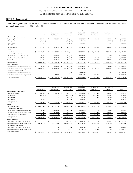As of and for the Years Ended December 31, 2017 and 2016

#### **NOTE 5 – Loans** (cont.)

The following table presents the balance in the allowance for loan losses and the recorded investment in loans by portfolio class and based on impairment method as of December 31:

|                                       |    |            |               |                          |   |             | 2017          |    |             |     |               |               |
|---------------------------------------|----|------------|---------------|--------------------------|---|-------------|---------------|----|-------------|-----|---------------|---------------|
|                                       |    |            |               | Construction             |   | Commercial  | Residential   |    | Multifamily |     | Installment & |               |
|                                       |    | Commercial |               | Real Estate              |   | Real Estate | Real Estate   |    | Real Estate |     | Other         | Total         |
| <b>Allowance for loan losses:</b>     |    |            |               |                          |   |             |               |    |             |     |               |               |
| <b>Beginning Balance</b>              | S  | 348.541    | <sup>\$</sup> | 478,905                  | S | 3,531,551   | 6,356,577     | \$ | 383,966     | \$  | 157,234       | 11,256,774    |
| Charge-offs                           |    | (32, 357)  |               | $\overline{\phantom{a}}$ |   | (424, 862)  | (422, 424)    |    |             |     | (37,050)      | (916, 693)    |
| Recoveries                            |    | 301        |               |                          |   | 196,262     | 189,167       |    |             |     | 6,841         | 392,571       |
| Provisions                            |    |            |               |                          |   |             |               |    |             |     |               |               |
| <b>Ending Balance</b>                 |    | 316,485    | \$.           | 478,905                  | S | 3,302,951   | 6,123,320     |    | 383,966     | \$. | 127,025       | 10,732,652    |
| Loans:                                |    |            |               |                          |   |             |               |    |             |     |               |               |
| Recorded Investment                   |    | 43,443,761 | S             | 46,213,504               | S | 458,376,164 | 193,555,109   | \$ | 76,952,505  | \$  | 7,301,031     | 825, 842, 074 |
| Allowance for loan losses:            |    |            |               |                          |   |             |               |    |             |     |               |               |
| Individually evaluated for impairment |    | 30,219     |               | 369,823                  |   | 549,271     | 1,508,979     |    |             |     | 3,975         | 2,462,267     |
| Collectively evaluated for impairment |    | 286,266    |               | 109,082                  |   | 2,753,680   | 4,614,341     |    | 383.966     |     | 123,050       | 8.270.385     |
| Total allowance for loan losses       |    | 316,485    |               | 478,905                  |   | 3,302,951   | 6,123,320     |    | 383,966     |     | 127,025       | 10,732,652    |
| <b>Ending Balance</b>                 |    | 43,127,276 |               | 45,734,599               |   | 455,073,213 | 187, 431, 789 | \$ | 76,568,539  | S   | 7,174,006     | 815,109,422   |
| <b>Ending Balance:</b>                |    |            |               |                          |   |             |               |    |             |     |               |               |
| Individually evaluated for impairment | S. | 35,219     | \$            | 866,740                  | S | 5,062,740   | 10.399.053    | \$ |             | \$  | 97,479        | 16,461,231    |
| Collectively evaluated for impairment |    | 43,408,542 |               | 45,304,920               |   | 453,296,527 | 176, 124, 385 |    | 76,198,643  |     | 7,198,753     | 801,531,770   |
| Purchase credit-impaired              |    |            |               |                          |   |             |               |    |             |     |               |               |
| Individually evaluated for impairment |    |            |               |                          |   | 16,897      | 2.819.847     |    |             |     | 4,799         | 2,841,543     |
| Collectively evaluated for impairment |    |            |               | 41,844                   |   |             | 4,211,824     |    | 753,862     |     |               | 5,007,530     |
| Total ending balance                  | S  | 43,443,761 | S             | 46,213,504               | S | 458,376,164 | 193,555,109   | S  | 76,952,505  | \$. | 7,301,031     | 825, 842, 074 |

i.

|                                       |    |              |     |              |     |             |    | 2016        |     |             |               |               |   |             |
|---------------------------------------|----|--------------|-----|--------------|-----|-------------|----|-------------|-----|-------------|---------------|---------------|---|-------------|
|                                       |    |              |     | Construction |     | Commercial  |    | Residential |     | Multifamily |               | Installment & |   |             |
|                                       |    | Commercial   |     | Real Estate  |     | Real Estate |    | Real Estate |     | Real Estate |               | Other         |   | Total       |
| <b>Allowance for loan losses:</b>     |    |              |     |              |     |             |    |             |     |             |               |               |   |             |
| <b>Beginning Balance</b>              | S  | 361.309      | \$  | 478,905      | \$  | 3.650.333   | S  | 6,560,758   | \$  | 383.966     | \$            | 155.629       | S | 11.590.900  |
| Charge-offs                           |    | (51, 273)    |     |              |     | (743, 867)  |    | (1,006,257) |     | (273, 764)  |               | (16, 874)     |   | (2,092,035) |
| Recoveries                            |    | 4,113        |     |              |     | 305,135     |    | 252,093     |     | 273,764     |               | 22,804        |   | 857,909     |
| Provisions                            |    | 34,392       |     |              |     | 319,950     |    | 549,983     |     |             |               | (4,325)       |   | 900,000     |
| <b>Ending Balance</b>                 |    | 348,541      | \$. | 478,905      |     | 3,531,551   |    | 6,356,577   |     | 383,966     |               | 157,234       |   | 11,256,774  |
| Loans:                                |    |              |     |              |     |             |    |             |     |             |               |               |   |             |
| Recorded Investment                   |    | 48,416,976   | S   | 46,539,706   |     | 439,356,010 |    | 201.148.919 | \$. | 56,641,334  | <sup>\$</sup> | 7,525,522     |   | 799,628,467 |
| Allowance for loan losses:            |    |              |     |              |     |             |    |             |     |             |               |               |   |             |
| Individually evaluated for impairment |    | 35,548       |     | 409,885      |     | 877,526     |    | 2,043,476   |     |             |               | 20,482        |   | 3,386,917   |
| Collectively evaluated for impairment |    | 312,993      |     | 69,020       |     | 2,654,025   |    | 4,313,101   |     | 383,966     |               | 136,752       |   | 7,869,857   |
| Total allowance for loan losses       |    | 348,541      |     | 478,905      |     | 3,531,551   |    | 6,356,577   |     | 383,966     |               | 157,234       |   | 11,256,774  |
| <b>Ending Balance</b>                 |    | 48,068,435   |     | 46,060,801   |     | 435,824,459 |    | 194,792,342 |     | 56,257,368  |               | 7,368,288     |   | 788,371,693 |
| <b>Ending Balance:</b>                |    |              |     |              |     |             |    |             |     |             |               |               |   |             |
| Individually evaluated for impairment | S. | 75.211       | \$  | 923.781      | \$. | 4.311.081   | S. | 13.015.667  | \$. |             | \$            | 124,521       |   | 18,450,261  |
| Collectively evaluated for impairment |    | 48, 341, 765 |     | 45,615,925   |     | 434,955,132 |    | 180,289,880 |     | 55,845,652  |               | 7,392,560     |   | 772,440,914 |
| Purchase credit-impaired              |    |              |     |              |     |             |    |             |     |             |               |               |   |             |
| Individually evaluated for impairment |    |              |     |              |     | 22,806      |    | 3,073,548   |     |             |               | 6,486         |   | 3,102,840   |
| Collectively evaluated for impairment |    |              |     |              |     | 66,991      |    | 4,769,824   |     | 795,682     |               | 1,955         |   | 5,634,452   |
| Total ending balance                  |    | 48,416,976   | \$. | 46,539,706   |     | 439,356,010 |    | 201,148,919 | £.  | 56,641,334  |               | 7,525,522     |   | 799,628,467 |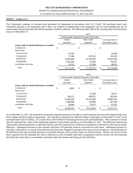#### As of and for the Years Ended December 31, 2017 and 2016

#### **NOTE 5 – Loans** (cont.)

The Corporation continues to evaluate loans purchased for impairment in accordance with U.S. GAAP. The purchased loans were considered impaired at the acquisition date if there was evidence of deterioration since origination and if it was probable that not all contractually required principal and interest payments would be collected. The following table reflects the carrying value of all purchased loans as of December 31:

|                                           | 2017       |    |                                            |    |                        |  |  |  |  |  |
|-------------------------------------------|------------|----|--------------------------------------------|----|------------------------|--|--|--|--|--|
|                                           |            |    | Contractually Required Payments Receivable |    |                        |  |  |  |  |  |
|                                           | Credit     |    | Non-Credit                                 |    | Carrying Value of      |  |  |  |  |  |
|                                           | Impaired   |    | Impaired                                   |    | <b>Purchased Loans</b> |  |  |  |  |  |
| Loans with no related allowance recorded: |            |    |                                            |    |                        |  |  |  |  |  |
| Commercial                                | \$         | \$ |                                            | \$ |                        |  |  |  |  |  |
| <b>Real Estate</b>                        |            |    |                                            |    |                        |  |  |  |  |  |
| Construction                              | 76,782     |    |                                            |    | 41,844                 |  |  |  |  |  |
| Commercial                                | 71,388     |    | 287,510                                    |    | 195,339                |  |  |  |  |  |
| Residential                               | 13,495,604 |    | 21,378,410                                 |    | 26,547,294             |  |  |  |  |  |
| Multifamily                               | 1,052,840  |    | 65,266                                     |    | 743,657                |  |  |  |  |  |
| Installment and other                     | 16,531     |    | 61,288                                     |    | 48,452                 |  |  |  |  |  |
| Total                                     | 14,713,145 | \$ | 21,792,474                                 | \$ | 27,576,586             |  |  |  |  |  |
|                                           |            |    |                                            |    |                        |  |  |  |  |  |

|                                           | 2016             |    |                                            |    |                        |  |  |  |  |
|-------------------------------------------|------------------|----|--------------------------------------------|----|------------------------|--|--|--|--|
|                                           |                  |    | Contractually Required Payments Receivable |    |                        |  |  |  |  |
|                                           | Credit           |    | Non-Credit                                 |    | Carry ing Value of     |  |  |  |  |
|                                           | Impaired         |    | Impaired                                   |    | <b>Purchased Loans</b> |  |  |  |  |
| Loans with no related allowance recorded: |                  |    |                                            |    |                        |  |  |  |  |
| Commercial                                | \$<br>4,962      | \$ |                                            | \$ |                        |  |  |  |  |
| <b>Real Estate</b>                        |                  |    |                                            |    |                        |  |  |  |  |
| Construction                              |                  |    | 31,306                                     |    | 30,517                 |  |  |  |  |
| Commercial                                | 194,111          |    | 463,955                                    |    | 391,626                |  |  |  |  |
| Residential                               | 15,166,243       |    | 25,125,364                                 |    | 30,981,362             |  |  |  |  |
| Multifamily                               | 1,094,660        |    | 114,608                                    |    | 827,260                |  |  |  |  |
| Installment and other                     | 20,966           |    | 75,675                                     |    | 61,367                 |  |  |  |  |
| Total                                     | \$<br>16,480,942 | \$ | 25,810,908                                 | \$ | 32, 292, 132           |  |  |  |  |

As of December 31, 2017, the estimated contractually-required payments receivable on credit impaired and non-credit impaired loans was \$14.7 million and \$21.8 million, respectively. The cash flows expected to be collected related to principal as of December 31, 2017 on all purchased loans is \$27.6 million. As a result, there is \$8.9 million of remaining discount on the purchased loans. These amounts are based upon the estimated fair values of the underlying collateral or discounted cash flows as of December 31, 2017. The difference between the contractually required payments at acquisition and the cash flow expected to be collected at acquisition is referred to as the non-accretable difference. Subsequent decreases to the expected cash flows will generally result in a provision for loan losses. Subsequent increases in cash flows will result in a reversal of the provision for loan losses charged to earnings to the extent of prior charges or a reclassification of the difference from non-accretable discount to accretable discount, with a positive impact on interest income. Further, any excess of cash flows expected over the estimated fair value is referred to as the accretable yield and is recognized in interest income over the remaining life of the loan when there is a reasonable expectation about the amount and timing of such cash flows.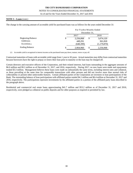As of and for the Years Ended December 31, 2017 and 2016

#### **NOTE 5 – Loans** (cont.)

The change in the carrying amount of accretable yield for purchased loans was as follows for the years ended December 31:

|                            |              | For Twelve Months Ended |    |             |  |  |  |  |  |  |
|----------------------------|--------------|-------------------------|----|-------------|--|--|--|--|--|--|
|                            | December 31. |                         |    |             |  |  |  |  |  |  |
|                            |              | 2017                    |    | 2016        |  |  |  |  |  |  |
| <b>Beginning Balance</b>   | \$           | 2,256,068               | \$ | 3,074,120   |  |  |  |  |  |  |
| Additions                  |              | 449.291                 |    | 361,818     |  |  |  |  |  |  |
| $Accretion$ <sub>(1)</sub> |              | (640,399)               |    | (1,179,870) |  |  |  |  |  |  |
| <b>Ending Balance</b>      | \$           | 2,064,960               | \$ | 2,256,068   |  |  |  |  |  |  |

(1) Accretable yield is recognized in interest income as the purchased loans pay down, mature, renew or pay off.

Contractual maturities of loans with accretable yield range from 1 year to 30 years. Actual maturities may differ from contractual maturities because borrowers have the right to prepay or renew their loan prior to maturity or the loan may be charged off.

Certain directors and executive officers of the Corporation, and their related interests, had loans outstanding in the aggregate amounts of \$6.0 million and \$9.3 million as of December 31, 2017, and 2016, respectively. During 2017, no new loans were made and repayments totaled \$3.3 million. Management believes these loans were made on substantially the same terms, including interest rates and collateral, as those prevailing at the same time for comparable transactions with other persons and did not involve more than normal risks of collectability or present other unfavorable features. Certain affiliated parties of the Corporation are investors in loan participations of the Bank. The outstanding balance of loan participations with affiliated parties totaled \$4.1 million and \$6.4 million at December 31, 2017 and 2016, respectively. The participations represent investments by the affiliated parties in a portion of the affiliated party loans described in the paragraph above.

Residential and commercial real estate loans approximating \$41.7 million and \$53.2 million as of December 31, 2017 and 2016, respectively, were pledged as collateral on public deposits and for other purposes as required or permitted by law.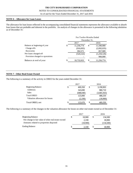# NOTES TO CONSOLIDATED FINANCIAL STATEMENTS

As of and for the Years Ended December 31, 2017 and 2016

#### **NOTE 6 – Allowance for Loan Losses**

The allowance for loan losses reflected in the accompanying consolidated financial statements represents the allowance available to absorb loan losses that are probable and inherent in the portfolio. An analysis of changes in the allowance is presented in the following tabulation as of December 31:

| 2017             |     | 2016                                    |
|------------------|-----|-----------------------------------------|
| \$<br>11,256,774 | \$  | 11,590,900                              |
| (916, 693)       |     | (2,092,035)                             |
| 392,571          |     | 857,909                                 |
| (524, 122)       |     | (1,234,126)                             |
|                  |     | 900,000                                 |
| \$<br>10,732,652 | \$. | 11,256,774                              |
|                  |     | For Twelve Months Ended<br>December 31, |

#### **NOTE 7** - **Other Real Estate Owned**

The following is a summary of the activity in OREO for the years ended December 31:

|                                |     | 2017      | 2016            |
|--------------------------------|-----|-----------|-----------------|
| <b>Beginning Balance</b>       | \$  | 469,350   | \$<br>3,190,903 |
| Additions                      |     | 343,690   | 980,710         |
| <b>Sales</b>                   |     | (688,040) | (3,683,363)     |
| <b>Total OREO</b>              |     | 125,000   | 488,250         |
| Valuation allowance for losses |     | (2,330)   | (18,900)        |
| Total OREO, net                | \$. | 122,670   | \$<br>469,350   |

The following is a summary of the changes in the valuation allowance for losses on other real estate owned as of December 31:

|                                                     | 2017     |   | 2016      |
|-----------------------------------------------------|----------|---|-----------|
| <b>Beginning Balance</b>                            | 18.900   | S | 134,500   |
| Net change in fair value of other real estate owned | 2.330    |   | 18.900    |
| Amounts related to properties disposed              | (18,900) |   | (134,500) |
| <b>Ending Balance</b>                               | 2.330    | S | 18.900    |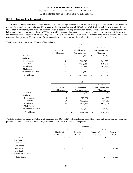#### As of and for the Years Ended December 31, 2017 and 2016

#### **NOTE 8 - Troubled Debt Restructuring**

A TDR includes a loan modification where a borrower is experiencing financial difficulty and the Bank grants a concession to that borrower that the Bank would not otherwise consider except for the borrower's financial difficulties. Modifications include below market interest rates, interest-only terms, forgiveness of principal, or an exceptionally long amortization period. Most of the Bank's modifications are below market interest rate concessions. A TDR may be either on accrual or nonaccrual status based upon the performance of the borrower and management's assessment of collectability. If a TDR is placed on nonaccrual status, it remains there until it performs under the restructured terms for a sufficient period of time, generally six consecutive months at which time it is returned to accrual status.

The following is a summary of TDRs as of December 31:

|                     |                | 2017                |                 |
|---------------------|----------------|---------------------|-----------------|
|                     |                | Total               | Allowance       |
|                     | Number of      | <b>Trouble Debt</b> | For Loan Losses |
|                     | Modifications  | Restructurings      | Allocation      |
| Commercial          |                | \$<br>35,219        | \$<br>30,219    |
| <b>Real Estate</b>  |                |                     |                 |
| Construction        | 5              | 866,740             | 369,823         |
| Commercial          | 15             | 3,404,641           | 549,271         |
| Residential         | 122            | 12,561,943          | 1,501,771       |
| Multifamily         |                |                     |                 |
| Installment & Other | $\overline{4}$ | 84,045              | 3,975           |
| <b>Total Loans</b>  | 147            | \$<br>16.952.588    | \$<br>2.455,059 |

|                     |                       |       | 2016                |    |                 |  |  |
|---------------------|-----------------------|-------|---------------------|----|-----------------|--|--|
|                     |                       | Total |                     |    | Allowance       |  |  |
|                     | Number of             |       | <b>Trouble Debt</b> |    | For Loan Losses |  |  |
|                     | <b>M</b> odifications |       | Restructurings      |    | Allocation      |  |  |
| Commercial          | 3                     | \$    | 72,818              | \$ | 35,548          |  |  |
| Real Estate         |                       |       |                     |    |                 |  |  |
| Construction        | 5                     |       | 923,781             |    | 409,885         |  |  |
| Commercial          | 19                    |       | 3,637,085           |    | 756,618         |  |  |
| Residential         | 145                   |       | 14,403,344          |    | 2,041,996       |  |  |
| Multifamily         |                       |       |                     |    |                 |  |  |
| Installment & Other | 6                     |       | 131,007             |    | 20,482          |  |  |
| Total Loans         | 178                   | \$    | 19,168,035          | \$ | 3,264,529       |  |  |

The following is a summary of TDR's as of December 31, 2017 and 2016 that defaulted during the period and were modified within the previous 12 months. TDR's in default are past due 90 days or more at the end of the period.

|                       | December 31,             |          |                          |               |         |          |  |  |  |
|-----------------------|--------------------------|----------|--------------------------|---------------|---------|----------|--|--|--|
|                       |                          | 2017     |                          | 2016          |         |          |  |  |  |
|                       | Number of                | Total in |                          | Number of     |         | Total in |  |  |  |
|                       | Modifications<br>Default |          |                          | Modifications | Default |          |  |  |  |
| Commercial            | ۰                        |          | $\overline{\phantom{a}}$ | ۰             | S       |          |  |  |  |
| Real Estate           |                          |          |                          |               |         |          |  |  |  |
| Construction          |                          |          |                          |               |         |          |  |  |  |
| Commercial            |                          |          |                          |               |         |          |  |  |  |
| Residential           | ۰                        |          | ٠                        |               |         | 97,500   |  |  |  |
| Multifamily           | ۰                        |          | -                        | ۰             |         |          |  |  |  |
| Installment and other |                          |          |                          |               |         |          |  |  |  |
| <b>Total Loans</b>    | $\overline{\phantom{a}}$ | \$       |                          |               | \$      | 97,500   |  |  |  |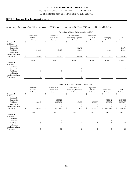# NOTES TO CONSOLIDATED FINANCIAL STATEMENTS

#### As of and for the Years Ended December 31, 2017 and 2016

#### **NOTE 8 - Troubled Debt Restructuring** (cont.)

A summary of the type of modifications made on TDR's that occurred during 2017 and 2016 are noted in the table below.

|                     |                          | For the Twelve Months Ended December 31, 2017 |    |                                      |    |                                                  |                        |         |            |         |       |                |
|---------------------|--------------------------|-----------------------------------------------|----|--------------------------------------|----|--------------------------------------------------|------------------------|---------|------------|---------|-------|----------------|
|                     | Modification<br>of Terms |                                               |    | Reduction of<br><b>Interest Rate</b> |    | Modification to<br><b>Interest-only Payments</b> | Forgiveness<br>of Debt |         | Bankruptcy |         |       | Total          |
|                     |                          | Balance                                       |    | Balance                              |    | <b>Balance</b>                                   |                        | Balance |            | Balance |       | <b>Balance</b> |
| Commercial          |                          |                                               | S. |                                      | S  |                                                  |                        |         |            |         |       |                |
| <b>Real Estate</b>  |                          |                                               |    |                                      |    |                                                  |                        |         |            |         |       |                |
| Construction        |                          |                                               |    |                                      |    |                                                  |                        |         |            |         |       |                |
| Commercial          |                          |                                               |    |                                      |    | 312,769                                          |                        |         |            |         |       | 312,769        |
| Residential         |                          | 149,025                                       |    | 83,229                               |    | 135,661                                          |                        |         |            | 127,231 |       | 495,146        |
| Multifamily         |                          |                                               |    |                                      |    |                                                  |                        |         |            |         |       |                |
| Installment & Other |                          |                                               |    |                                      |    |                                                  |                        |         |            |         |       |                |
| <b>Total Loans</b>  |                          | 149,025                                       |    | 83,229                               | \$ | 448,430                                          | \$                     |         |            | 127,231 | \$    | 807,915        |
|                     |                          | Count                                         |    | Count                                |    | Count                                            |                        | Count   |            | Count   | Count |                |
| Commercial          |                          |                                               |    |                                      |    |                                                  |                        |         |            |         |       |                |
| <b>Real Estate</b>  |                          |                                               |    |                                      |    |                                                  |                        |         |            |         |       |                |
| Construction        |                          |                                               |    |                                      |    |                                                  |                        |         |            |         |       |                |
| Commercial          |                          |                                               |    |                                      |    |                                                  |                        |         |            |         |       |                |
| Residential         |                          |                                               |    |                                      |    |                                                  |                        |         |            |         |       | 6              |
| Multifamily         |                          |                                               |    |                                      |    |                                                  |                        |         |            |         |       |                |
| Installment & Other |                          |                                               |    |                                      |    |                                                  |                        |         |            |         |       |                |
| <b>Total Loans</b>  |                          |                                               |    |                                      |    |                                                  |                        |         |            |         |       | 8              |
|                     |                          |                                               |    |                                      |    |                                                  |                        |         |            |         |       |                |

|                     |                          |                                                 |           |   | For the Twelve Months Ended December 31, 2016    |     |                        |                       |           |         |           |  |  |  |  |
|---------------------|--------------------------|-------------------------------------------------|-----------|---|--------------------------------------------------|-----|------------------------|-----------------------|-----------|---------|-----------|--|--|--|--|
|                     | Modification<br>of Terms | Reduction of<br><b>Interest Rate</b><br>Balance |           |   | Modification to<br><b>Interest-only Payments</b> |     | Forgiveness<br>of Debt | Bankruptcy<br>Balance |           |         | Total     |  |  |  |  |
|                     | Balance                  |                                                 |           |   | Balance                                          |     | Balance                |                       |           | Balance |           |  |  |  |  |
| Commercial          |                          |                                                 |           |   |                                                  |     |                        |                       |           |         |           |  |  |  |  |
| <b>Real Estate</b>  |                          |                                                 |           |   |                                                  |     |                        |                       |           |         |           |  |  |  |  |
| Construction        |                          |                                                 |           |   |                                                  |     |                        |                       |           |         |           |  |  |  |  |
| Commercial          |                          |                                                 | 258,726   |   |                                                  |     |                        |                       | 775,842   |         | 1,034,568 |  |  |  |  |
| Residential         | 380,903                  |                                                 | 1,275,089 |   | 113,859                                          |     | 232,357                |                       | 237,399   |         | 2,239,607 |  |  |  |  |
| Multifamily         |                          |                                                 |           |   |                                                  |     |                        |                       |           |         |           |  |  |  |  |
| Installment & Other |                          |                                                 |           |   |                                                  |     |                        |                       |           |         |           |  |  |  |  |
| <b>Total Loans</b>  | 380,903                  | \$                                              | 1,533,815 | S | 113,859                                          | \$. | 232,357                | \$.                   | 1,013,241 | S       | 3,274,175 |  |  |  |  |
|                     | Count                    |                                                 | Count     |   | Count                                            |     | Count                  |                       | Count     |         | Count     |  |  |  |  |
| Commercial          |                          |                                                 |           |   |                                                  |     |                        |                       |           |         |           |  |  |  |  |
| <b>Real Estate</b>  |                          |                                                 |           |   |                                                  |     |                        |                       |           |         |           |  |  |  |  |
| Construction        |                          |                                                 |           |   |                                                  |     |                        |                       |           |         |           |  |  |  |  |
| Commercial          |                          |                                                 |           |   |                                                  |     |                        |                       |           |         |           |  |  |  |  |
| Residential         |                          |                                                 |           |   |                                                  |     |                        |                       |           |         | 21        |  |  |  |  |
| Multifamily         |                          |                                                 |           |   |                                                  |     |                        |                       |           |         |           |  |  |  |  |
| Installment & Other |                          |                                                 |           |   |                                                  |     |                        |                       |           |         |           |  |  |  |  |
| <b>Total Loans</b>  |                          |                                                 | 12        |   |                                                  |     |                        |                       |           |         | 26        |  |  |  |  |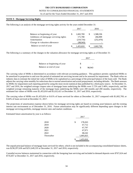#### NOTES TO CONSOLIDATED FINANCIAL STATEMENTS

As of and for the Years Ended December 31, 2017 and 2016

#### **NOTE 9 - Mortgage Servicing Rights**

|  |  |  |  |  |  | The following is an analysis of the mortgage servicing rights activity for the years ended December 31: |
|--|--|--|--|--|--|---------------------------------------------------------------------------------------------------------|
|  |  |  |  |  |  |                                                                                                         |
|  |  |  |  |  |  |                                                                                                         |
|  |  |  |  |  |  |                                                                                                         |

|                                        |    | 2017      |   | 2016       |
|----------------------------------------|----|-----------|---|------------|
| Balance at beginning of year           | \$ | 1,602,769 | S | 1,588,336  |
| Additions of mortgage servicing rights |    | 171,700   |   | 266,909    |
| Amortization                           |    | (219,716) |   | (252, 476) |
| Change in valuation allowance          |    | (98, 943) |   |            |
| Balance at end of year                 | S  | 1,455,810 | S | 1,602,769  |

The following is a summary of the changes in the valuation allowance for mortgage servicing rights as of December 31:

| Balance at beginning of year |        |
|------------------------------|--------|
| Balance at end of year       | 98.943 |

The carrying value of MSRs is determined in accordance with relevant accounting guidance. This guidance permits capitalized MSRs to be amortized in proportion to and over the period of estimated net servicing income and to be assessed for impairment. The Bank relies on industry data to estimate the initial fair value of MSRs to be capitalized as a percentage of the principal balance of the loans sold. The Bank adjusts the carrying value monthly for reductions due to normal amortization and actual prepayments, including defaults. The Bank assesses its MSRs for impairment each reporting period by using the most recent statistical data published by a third party source. At December 31, 2017 and 2016, the weighted average coupon rates of mortgage loans underlying the MSRs were 3.72% and 3.48%, respectively, and the weighted average remaining maturity of the mortgage loans underlying the MSRs were 200 months and 200 months, respectively. The estimated fair values of MSRs were \$1,455,810 and \$1,632,421 at December 31, 2017 and 2016, respectively.

The carrying value of MSRs was \$1,455,810 or 0.61% of loans serviced for others at December 31, 2017 compared with \$1,602,769, or 0.64% of loans serviced at December 31, 2017.

The projections of amortization expense shown below for mortgage servicing rights are based on existing asset balances and the existing interest rate environment as of December 31, 2016. Future amortization may be significantly different depending upon changes in the mortgage servicing portfolio, mortgage interest rates and market conditions.

Estimated future amortization by year is as follows:

|            | 2017          |  |  |
|------------|---------------|--|--|
|            |               |  |  |
| 2018       | \$<br>178,263 |  |  |
| 2019       | 67,712        |  |  |
| 2020       | 67,797        |  |  |
| 2021       | 67,971        |  |  |
| 2022       | 68,242        |  |  |
| Thereafter | 1,005,825     |  |  |
|            | 1,455,810     |  |  |

The unpaid principal balance of mortgage loans serviced for others, which is not included in the accompanying consolidated balance sheets, was \$238,297,636 and \$251,649,335 at December 31, 2017 and 2016, respectively.

Custodial escrow balances maintained in connection with the foregoing loan servicing and included in demand deposits were \$767,624 and \$735,857 at December 31, 2017 and 2016, respectively.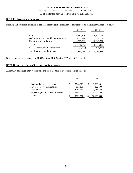# NOTES TO CONSOLIDATED FINANCIAL STATEMENTS

As of and for the Years Ended December 31, 2017 and 2016

#### **NOTE 10 - Premises and Equipment**

Premises and equipment are stated at cost less accumulated depreciation as of December 31 and are summarized as follows:

|                                      |    | 2017         | 2016 |              |  |
|--------------------------------------|----|--------------|------|--------------|--|
| Land                                 | \$ | 6,587,501    | \$.  | 6,522,197    |  |
| Buildings and leasehold improvements |    | 29,801,147   |      | 29,562,652   |  |
| Furniture and equipment              |    | 14,509,204   |      | 13,849,201   |  |
| Total                                |    | 50,897,852   |      | 49,934,050   |  |
| Less: Accumulated depreciation       |    | (36,034,776) |      | (34,464,777) |  |
| Net Premises and Equipment           | S  | 14,863,076   |      | 15,469,273   |  |

Depreciation expense amounted to \$1,638,018 and \$1,615,436, in 2017 and 2016, respectively.

#### **NOTE 11 – Accrued Interest Receivable and Other Assets**

A summary of accrued interest receivable and other assets as of December 31 is as follows:

|                                   | 2017             |     | 2016       |  |
|-----------------------------------|------------------|-----|------------|--|
|                                   |                  |     |            |  |
| Accrued interest receivable       | \$<br>3,748,673  | \$. | 3,803,031  |  |
| Fererdal reserve bank stock       | 322,100          |     | 322,100    |  |
| Tax credits                       | 4,407,459        |     | 2,018,322  |  |
| Prepaid expenses and other assets | 5,444,334        |     | 6,050,236  |  |
| Total                             | \$<br>13,922,566 |     | 12,193,689 |  |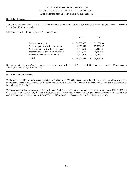As of and for the Years Ended December 31, 2017 and 2016

#### **NOTE 12 - Deposits**

The aggregate amount of time deposits, each with a minimum denomination of \$250,000, was \$14,276,095 and \$17,749,183 as of December 31, 2017 and 2016, respectively.

Scheduled maturities of time deposits at December 31 are:

|                                         | 2017       |   | 2016       |
|-----------------------------------------|------------|---|------------|
|                                         |            |   |            |
| Due within one year                     | 53,960,875 | S | 61,157,050 |
| After one year but within two years     | 15,058,449 |   | 18,383,307 |
| After two years but within three years  | 7,609,579  |   | 3,849,664  |
| After three years but within four years | 4,475,587  |   | 6,070,635  |
| After four years but within five years  | 5,599,954  |   | 5,145,735  |
| Total                                   | 86,704,444 | S | 94,606,391 |

Deposits from the Company's related parties and Directors held by the Bank at December 31, 2017 and December 31, 2016 amounted to \$10,576,767 and \$9,376,009, respectively.

#### **NOTE 13 - Other Borrowings**

The Bank has the ability to borrow (purchase) federal funds of up to \$70,000,000 under a revolving line-of-credit. Such borrowings bear interest at the lender bank's announced daily federal funds rate and mature daily. There were no federal funds purchased outstanding as of December 31, 2017 or 2016.

The Bank may also borrow through the Federal Reserve Bank Discount Window short term funds up to the amount of \$12,138,622 and \$14,771,562 as of December 31, 2017 and 2016, respectively. These funds are secured by U.S. government sponsored entity securities or qualified municipal securities totaling \$13,487,358 and \$16,412,847 as of December 31, 2017 and 2016, respectively.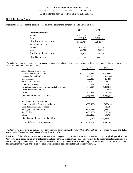#### NOTES TO CONSOLIDATED FINANCIAL STATEMENTS

As of and for the Years Ended December 31, 2017 and 2016

#### **NOTE 14 - Income Taxes**

Income tax expense (benefit) consists of the following components for the year ending December 31:

|                             | 2017              | 2016              |
|-----------------------------|-------------------|-------------------|
| Current income taxes        |                   |                   |
| Federal                     | \$<br>4, 345, 175 | \$<br>4, 157, 132 |
| State                       | 1,386,612         | 1,214,152         |
| Total current income taxes  | 5,731,787         | 5,371,284         |
| Deferred income taxes       |                   |                   |
| Federal                     | 1,781,109         | 13,723            |
| <b>State</b>                | (6,790)           | (2,293)           |
| Total deferred income taxes | 1,774,319         | 11,430            |
| Total income taxes          | \$<br>7,506,106   | \$<br>5,382,714   |

The net deferred income tax assets in the accompanying consolidated balance sheets include the following amounts of deferred income tax assets and liabilities at December 31:

|                                                    | 2017            | 2016            |
|----------------------------------------------------|-----------------|-----------------|
| Deferred income tax assets:                        |                 |                 |
| Allowance for loan losses                          | \$<br>2,923,682 | \$<br>4,517,906 |
| Reserve for health plan                            | 276,800         | 458,964         |
| Depreciation                                       | 372,336         | 457,999         |
| Non-accrual interest                               | 16,500          | 72,284          |
| Loss carry forwards                                | 36,834          | 32,471          |
| Unrealized losses on securities available for sale | 1,044,593       | 1,052,262       |
| Other real estate owned                            |                 | 7,586           |
| Other                                              | 141,484         | 181,580         |
| Total deferred income tax assets                   | 4,812,229       | 6,781,052       |
| Deferred income tax liabilities:                   |                 |                 |
| Loan acquisition fair market valuation             | (587, 480)      | (968, 616)      |
| Core deposit intangible asset                      |                 | (25, 395)       |
| Mortgage servicing rights                          | (396, 577)      | (643,272)       |
| Tax Credits                                        | (158,078)       | (108,500)       |
| Other                                              | (115, 403)      | (193,028)       |
| Total deferred income tax liabilities              | (1,257,538)     | (1,938,811)     |
| Net deferred income tax asset                      | 3,554,691       | 4,842,241       |

The Corporation has state net business loss carryforwards of approximately \$590,000 and \$632,000 as of December 31, 2017 and 2016, respectively. The net business loss carryforwards expire in 2032.

Realization of the deferred income tax asset over time is dependent upon the existence of taxable income in carryback periods or the Corporation generating sufficient taxable income in future periods. In determining that realization of the deferred income tax asset recorded was more likely than not, the Corporation gave consideration to a number of factors including its recent earnings history, its expectations for earnings in the future, and where applicable, the expiration dates associated with tax carryforwards.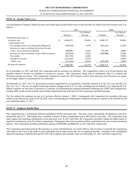#### NOTES TO CONSOLIDATED FINANCIAL STATEMENTS

As of and for the Years Ended December 31, 2017 and 2016

#### **NOTE 14 - Income Taxes** (cont.)

A reconciliation of statutory federal income taxes based upon income before taxes to the provision for federal and state income taxes is as follows:

|                                                    | 2017            |             |    | 2016       |             |  |
|----------------------------------------------------|-----------------|-------------|----|------------|-------------|--|
|                                                    |                 | % of Pretax |    |            | % of Pretax |  |
|                                                    | Amount          | Income      |    | Amount     | Income      |  |
| Federal income taxes at                            |                 |             |    |            |             |  |
| statutory rate                                     | \$<br>6,364,972 | 35.00%      | \$ | 5,638,752  | 35.00%      |  |
| Adjustments for:                                   |                 |             |    |            |             |  |
| Tax exempt interest on municipal obligations       | (346, 652)      | $-1.91\%$   |    | (363,215)  | $-2.25%$    |  |
| Increase in taxes resulting from state income      |                 |             |    |            |             |  |
| taxes, net of federal tax benefit                  | 896.884         | 4.93%       |    | 787.708    | 4.89%       |  |
| Increase in cash surrender vaule of life insurance | (365, 923)      | $-2.01\%$   |    | (384, 888) | $-2.39\%$   |  |
| <b>Tax credits</b>                                 | (451,750)       | $-2.48%$    |    |            | 0.00%       |  |
| Change in tax rate                                 | 1,522,034       | 8.37%       |    |            | 0.00%       |  |
| Other - net                                        | (113, 459)      | $-0.63%$    |    | (295, 643) | $-1.84\%$   |  |
| Income tax expense                                 | 7,506,106       | 41.27%      |    | 5,382,714  | 33.41%      |  |

As of December 31, 2017 and 2016, the Corporation had no uncertain tax positions. The Corporation's policy is to record interest and penalties related to income tax liabilities in income tax expense. The Corporation, along with its subsidiaries, files U.S. Federal and Wisconsin income tax returns. The Corporation's federal tax returns for 2013 and prior and its 2012 and prior year Wisconsin tax returns are no longer subject to examination by tax authorities.

On December 22, 2017, the U.S. government enacted comprehensive tax legislation commonly referred to as the Tax Cuts and Jobs Act (the "Tax Act"). The Tax Act makes broad and complex changes to the U.S. tax code, including, but not limited to, (1) reducing the U.S. federal corporate tax rate from 35 percent to 21 percent, (2) eliminating the corporate alternative minimum tax (AMT) and changing how existing AMT credits can be realized, and (3) bonus depreciation that will allow for full expensing of qualified property.

The Act reduces the corporate tax rate to 21 percent, effective January 1, 2018. Consequently, the Corporation has recorded a decrease related to net deferred tax assets of \$1,522,034, with a corresponding net adjustment to deferred income tax expense of \$1,522,034 for the year ended December 31, 2017.

#### **NOTE 15 - Employee Benefit Plans**

The Corporation has a contributory defined-contribution 401(k) retirement plan. This plan covers substantially all employees who have attained the age of 21. Participants may contribute a portion of their compensation (up to IRS limits) to the plan. The Corporation may make regular and matching contributions to the plan each year. In 2017 and 2016, the Corporation provided a dollar-for-dollar match of employee contributions up to 5% of their compensation. Participants direct the investment of their contributions into one or more investment options. The Corporation recorded contribution expense of \$709,096 and \$688,965, in 2017 and 2016, respectively.

The Corporation purchased paid-up life insurance as owner and beneficiary on certain officers and executives to provide the Corporation with funds in the event of the death of such individuals and to help recover the cost of employee benefits. Included in the consolidated financial statements is \$38,301,624 and \$37,256,129 of related cash surrender value as of December 31, 2017 and 2016, respectively.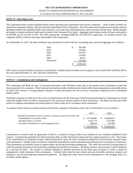#### As of and for the Years Ended December 31, 2017 and 2016

#### **NOTE 16 - Operating Leases**

The Corporation leases various banking facilities under operating lease agreements from various companies. Three of these facilities are leased from companies held by a director and major shareholder of the Corporation. All of the agreements include renewal options and one agreement requires the subsidiary Bank to pay insurance, real estate taxes and maintenance costs associated with the lease. Rental amounts are subject to annual escalation based upon increases in the Consumer Price Index. Aggregate rental expense under all leases amounted to \$1,074,380 and \$1,125,544 in 2017 and 2016 respectively, including \$480,326 and \$476,976 respectively, on facilities leased from companies held by a director and major shareholder of the Corporation.

As of December 31, 2017, the future minimum lease payments for each of the five succeeding years and in the aggregate are as follows:

| 2018       | \$<br>765,438   |
|------------|-----------------|
| 2019       | 763,045         |
| 2020       | 437,287         |
| 2021       | 141,093         |
| 2022       | 60,511          |
| Thereafter | 132,056         |
|            | \$<br>2.299.430 |

Office space at certain facilities is leased to outside parties. Rental income included in net occupancy costs was \$937,881 and \$916,238 for the years ended December 31, 2017 and 2016, respectively.

#### **NOTE 17 - Commitments and Contingencies**

The Corporation and Bank are party to financial instruments with off-balance sheet risk in the normal course of business to meet the financing needs of its customers. These financial instruments include commitments to extend credit, financial guarantees and standby letters of credit. They involve, to varying degrees, elements of credit and interest rate risk in excess of amounts recognized on the consolidated balance sheets.

The Bank's exposure to credit loss in the event of nonperformance by the other party to the financial instrument for commitments to extend credit and standby letters of credit is represented by the contractual notional amount of those instruments. The Bank uses the same credit policies in making commitments and issuing letters of credit as they do for on-balance-sheet instruments.

A summary of the contract or notional amount of the Bank's exposure to off-balance sheet risk as of December 31, are as follows:

|                                                                    |     | 2017        |     | 2016        |
|--------------------------------------------------------------------|-----|-------------|-----|-------------|
| Fiancial instruments whose contract amounts represent credit risk: |     |             |     |             |
| Commitments to extend credit                                       | SS. | 147,320,885 | \$. | 116,806,074 |
| Standby letters of credit                                          |     | 8,551,773   |     | 7,551,803   |
| Forward commitment to sell mortgage loans                          |     | 368,253     |     | 707,150     |
|                                                                    |     | 156,240,911 |     | 125,065,027 |

Commitments to extend credit are agreements to lend to a customer as long as there is no violation of any condition established in the contract. Commitments generally have fixed expiration dates or other termination clauses and may require payment of a fee. Since many of the commitments are expected to expire without being drawn upon, the total commitment amounts do not necessarily represent future cash requirements. Standby letters of credit are conditional commitments issued to guarantee the performance of a customer to a third party. Those guarantees are primarily issued to support public and private borrowing arrangements. The credit risk involved in issuing letters of credit is essentially the same as that involved in extending loan facilities to customers. The Bank evaluates each customer's credit worthiness on a case-by-case basis. The amount of collateral obtained, if deemed necessary by the Bank upon extension of credit, is based on management's credit evaluation of the counterparty. Collateral held varies but may include accounts receivable, inventory, property and equipment, and income-producing commercial properties. The Bank also enters into forward commitments to sell mortgage loans to a secondary market agency.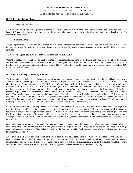#### **NOTE 18 - Stockholders' Equity**

#### *Cumulative Preferred Stock*

The Corporation's articles of incorporation authorize the issuance of up to 200,000 shares of \$1 par value cumulative preferred stock. The Board of Directors is authorized to divide the stock into series and fix and determine the relative rights and preferences of each series. No shares have been issued.

#### *Retained Earnings*

The principal source of income and funds of the Corporation are dividends from the Bank. Dividends declared by the Bank that exceed the retained net income for the most current year plus retained net income for the preceding two years must be approved by federal regulatory agencies.

The Corporation paid total dividends of \$0.48 per share in both 2017 and 2016.

Under Federal Reserve regulations, the Bank is limited as to the amount it may lend to its affiliates, including the Corporation. Such loans are required to be collateralized by investments defined in the regulations. In addition, the maximum amount available for transfer from the Bank to the Corporation in the form of loans is limited to 10% of the Bank's stockholders' equity in the case of any one affiliate or 20% in the case of all affiliates.

#### **NOTE 19 - Regulatory Capital Requirements**

The Corporation and its Bank subsidiary are subject to various regulatory capital requirements administered by the federal banking agencies. The final rules implementing BASEL Committee on Banking Supervisor's Capital Guidance for U.S. banks ("BASEL III rules") became effective for the Corporation on January 1, 2015, with full compliance with all of the requirements being phased in over a multi-year schedule and fully phased in by January 1, 2019. Beginning in 2016, an additional capital conservation buffer was added to the minimum requirements for capital adequacy purposes. The capital conservation buffer is required to ensure that the Corporation and the Bank conserves capital when it is most needed, to better handle periods of economic activity. The capital conservation buffer comprises common equity Tier 1 capital above its minimum capital requirements. The buffer is determined relative to risk-weighted assets. A depository and lending institution with a buffer of less than 2.5% (or the required phase-in amount in years prior to 2019) will be subject to limitations on capital distributions, including dividend payments and certain discretionary bonus payments to executive officers. The Corporation and Bank capital are sufficient to meet the fully phased-in conservation buffer as of December 31, 2017.

Failure to meet minimum capital requirements can initiate certain mandatory and possibly additional discretionary actions by regulators that, if undertaken, could have a direct material effect on the Corporation's financial statements. Under capital adequacy guidelines and the regulatory framework for prompt corrective action, the Corporation and its Bank subsidiary must meet specific capital guidelines that involve quantitative measures of its assets, liabilities, and certain off-balance sheet items calculated under regulatory accounting practices. The capital amounts and classification are also subject to qualitative judgments by the regulators about components, risk-weightings, and other factors.

Quantitative measures established by regulation to ensure capital adequacy require the maintenance of minimum amounts and ratios (set forth in the table below) of total and Tier 1 capital (as defined in the regulations) to risk-weighted assets, and of Tier 1 capital to average assets. Management believes, as of December 31, 2017, that the Corporation and its Bank subsidiary meet all capital adequacy requirements to which they are subject.

As of December 31, 2017, the most recent notification from the Federal Deposit Insurance Corporation categorized the Bank as well capitalized under the regulatory framework for prompt corrective action. To be categorized as well capitalized, an institution must maintain minimum total risk-based, Tier 1 risk-based, common equity risk based and Tier 1 leverage ratios as set forth in the following table. There are no conditions or events since that notification that management believes have changed the Bank's category.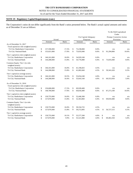#### NOTES TO CONSOLIDATED FINANCIAL STATEMENTS

As of and for the Years Ended December 31, 2017 and 2016

#### **NOTE 19 - Regulatory Capital Requirements (cont.)**

The Corporation's ratios do not differ significantly from the Bank's ratios presented below. The Bank's actual capital amounts and ratios as of December 31 are as follows:

|                                                    |                           |       |    |                             |      |                     | To Be Well Capitalized   |       |  |
|----------------------------------------------------|---------------------------|-------|----|-----------------------------|------|---------------------|--------------------------|-------|--|
|                                                    |                           |       |    |                             |      |                     | Under                    |       |  |
|                                                    |                           |       |    | For Capital Adequacy        |      |                     | Prompt Corrective Action |       |  |
|                                                    | Actual<br>Ratio<br>Amount |       |    | Purposes<br>Ratio<br>Amount |      | Provision<br>Amount |                          | Ratio |  |
| As of December 31, 2017                            |                           |       |    |                             |      |                     |                          |       |  |
| Total capital (to risk-weighted assets)            |                           |       |    |                             |      |                     |                          |       |  |
| Tri City Bankshares Corporation                    | \$<br>157,596,000         | 17.2% | \$ | 73,238,800                  | 8.0% |                     | n/a                      | n/a   |  |
| Tri City National Bank                             | \$<br>155,021,000         | 17.0% | \$ | 73,035,840                  | 8.0% | \$                  | 91,294,800               | 10.0% |  |
| Tier 1 capital (to risk-weighted assets)           |                           |       |    |                             |      |                     |                          |       |  |
| Tri City Bankshares Corporation                    | \$<br>146,161,000         | 16.0% | \$ | 54,929,100                  | 6.0% |                     | n/a                      | n/a   |  |
| Tri City National Bank                             | \$<br>144,288,000         | 15.8% | \$ | 54,776,880                  | 6.0% | \$                  | 73,035,840               | 8.0%  |  |
| Common Equity Tier 1 (to risk-<br>weighted assets) |                           |       |    |                             |      |                     |                          |       |  |
| Tri City Bankshares Corporation                    | \$<br>146,161,000         | 16.0% | \$ | 41,196,825                  | 4.5% |                     | n/a                      | n/a   |  |
| Tri City National Bank                             | \$<br>144,288,000         | 15.8% | \$ | 41,082,660                  | 4.5% | \$                  | 59,341,620               | 6.5%  |  |
| Tier 1 capital (to average assets)                 |                           |       |    |                             |      |                     |                          |       |  |
| Tri City Bankshares Corporation                    | \$<br>146,161,000         | 10.5% | \$ | 55,654,240                  | 4.0% |                     | n/a                      | n/a   |  |
| Tri City National Bank                             | \$<br>144,288,000         | 10.4% | \$ | 55,643,160                  | 4.0% | \$                  | 69,553,950               | 5.0%  |  |
| As of December 31, 2016                            |                           |       |    |                             |      |                     |                          |       |  |
| Total capital (to risk-weighted assets)            |                           |       |    |                             |      |                     |                          |       |  |
| Tri City Bankshares Corporation                    | \$<br>150,686,000         | 17.2% | \$ | 69,928,400                  | 8.0% |                     | n/a                      | n/a   |  |
| Tri City National Bank                             | \$<br>148,789,000         | 17.0% | \$ | 69,818,480                  | 8.0% | $\mathbb{S}$        | 87,273,100               | 10.0% |  |
| Tier 1 capital (to risk-weighted assets)           |                           |       |    |                             |      |                     |                          |       |  |
| Tri City Bankshares Corporation                    | \$<br>139,755,000         | 16.0% | \$ | 52,446,300                  | 6.0% |                     | n/a                      | n/a   |  |
| Tri City National Bank                             | \$<br>137,876,000         | 15.8% | \$ | 52,363,860                  | 6.0% | \$                  | 69,818,480               | 8.0%  |  |
| Common Equity Tier 1 (to risk-<br>weighted assets) |                           |       |    |                             |      |                     |                          |       |  |
| Tri City Bankshares Corporation                    | \$<br>139,755,000         | 16.0% | \$ | 39,334,725                  | 4.5% |                     | n/a                      | n/a   |  |
| Tri City National Bank                             | \$<br>137,876,000         | 15.8% | \$ | 39,272,895                  | 4.5% | \$                  | 56,727,515               | 6.5%  |  |
| Tier 1 capital (to average assets)                 |                           |       |    |                             |      |                     |                          |       |  |
| Tri City Bankshares Corporation                    | \$<br>139,755,000         | 10.1% | \$ | 55,577,200                  | 4.0% | \$                  | n/a                      | n/a   |  |
| Tri City National Bank                             | \$<br>137,876,000         | 9.9%  | \$ | 55,521,880                  | 4.0% | $\mathbb{S}$        | 69,402,350               | 5.0%  |  |